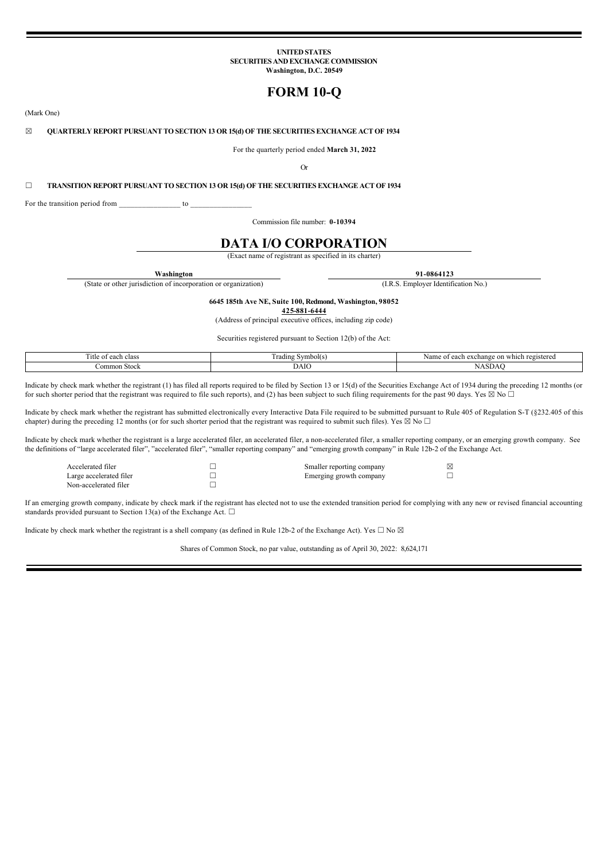#### **UNITED STATES SECURITIES AND EXCHANGE COMMISSION Washington, D.C. 20549**

**FORM 10-Q** 

(Mark One)

### ☒ **QUARTERLY REPORT PURSUANT TO SECTION 13 OR 15(d) OF THE SECURITIES EXCHANGE ACT OF 1934**

For the quarterly period ended **March 31, 2022**

Or

### ☐ **TRANSITION REPORT PURSUANT TO SECTION 13 OR 15(d) OF THE SECURITIES EXCHANGE ACT OF 1934**

For the transition period from to  $\sim$ 

Commission file number: 0-10394

# **DATA I/O CORPORATION**

(Exact name of registrant as specified in its charter)

**Washington**<br> **91-0864123**<br> **91-0864123**<br> **1.R.S. Employer Identification No.)** (State or other jurisdiction of incorporation or organization)

**6645 185th Ave NE, Suite 100, Redmond, Washington, 98052**

**4258816444**

(Address of principal executive offices, including zip code)

Securities registered pursuant to Section 12(b) of the Act:

| $\overline{\phantom{a}}$<br>ïtle<br>each class *<br>$\Omega$ | Trading Symbolls | each exchange<br>Name of<br>v which registered<br>on |
|--------------------------------------------------------------|------------------|------------------------------------------------------|
| mon otoen                                                    | DAIC             | ۱д<br>110111                                         |

Indicate by check mark whether the registrant (1) has filed all reports required to be filed by Section 13 or 15(d) of the Securities Exchange Act of 1934 during the preceding 12 months (or for such shorter period that the registrant was required to file such reports), and (2) has been subject to such filing requirements for the past 90 days. Yes  $\boxtimes$  No  $\Box$ 

Indicate by check mark whether the registrant has submitted electronically every Interactive Data File required to be submitted pursuant to Rule 405 of Regulation S-T (§232.405 of this chapter) during the preceding 12 months (or for such shorter period that the registrant was required to submit such files). Yes  $\boxtimes$  No  $\Box$ 

Indicate by check mark whether the registrant is a large accelerated filer, an accelerated filer, a mon-accelerated filer, a smaller reporting company, or an emerging growth company. See the definitions of "large accelerated filer", "accelerated filer", "smaller reporting company" and "emerging growth company" in Rule 12b-2 of the Exchange Act.

| Accelerated filer       | Smaller reporting company |  |
|-------------------------|---------------------------|--|
| Large accelerated filer | Emerging growth company   |  |
| Non-accelerated filer   |                           |  |

If an emerging growth company, indicate by check mark if the registrant has elected not to use the extended transition period for complying with any new or revised financial accounting standards provided pursuant to Section 13(a) of the Exchange Act.  $\square$ 

Indicate by check mark whether the registrant is a shell company (as defined in Rule 12b-2 of the Exchange Act). Yes  $\Box$  No  $\boxtimes$ 

Shares of Common Stock, no par value, outstanding as of April 30, 2022: 8,624,171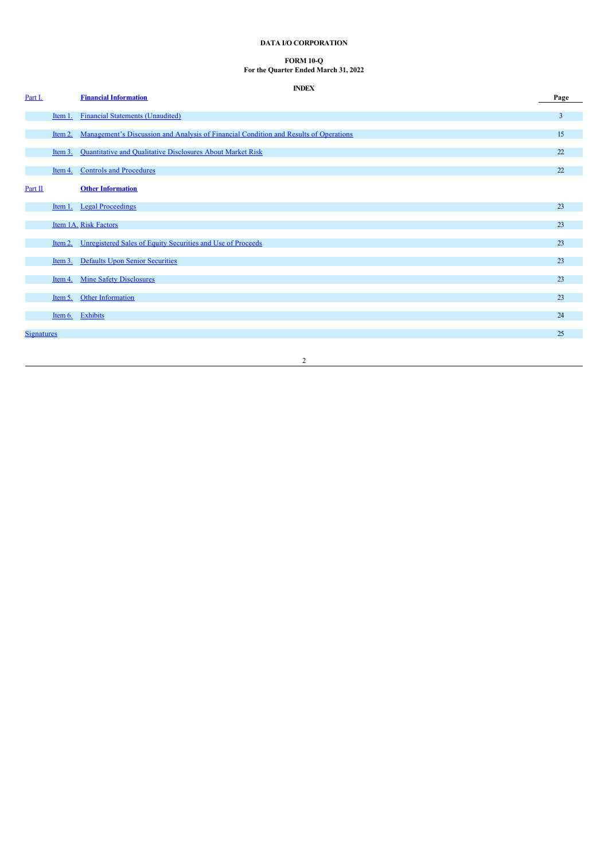# <span id="page-1-0"></span>**DATA I/O CORPORATION**

# **FORM 10Q For the Quarter Ended March 31, 2022**

| <b>INDEX</b>      |         |                                                                                       |              |
|-------------------|---------|---------------------------------------------------------------------------------------|--------------|
| Part I.           |         | <b>Financial Information</b>                                                          | Page         |
|                   |         |                                                                                       |              |
|                   | Item 1. | <b>Financial Statements (Unaudited)</b>                                               | $\mathbf{3}$ |
|                   | Item 2. | Management's Discussion and Analysis of Financial Condition and Results of Operations | 15           |
|                   |         |                                                                                       |              |
|                   | Item 3. | Quantitative and Qualitative Disclosures About Market Risk                            | 22           |
|                   | Item 4. | <b>Controls and Procedures</b>                                                        | 22           |
|                   |         |                                                                                       |              |
| Part II           |         | <b>Other Information</b>                                                              |              |
|                   | Item 1. | <b>Legal Proceedings</b>                                                              | 23           |
|                   |         |                                                                                       |              |
|                   |         | Item 1A. Risk Factors                                                                 | 23           |
|                   | Item 2. | Unregistered Sales of Equity Securities and Use of Proceeds                           | 23           |
|                   |         |                                                                                       |              |
|                   | Item 3. | Defaults Upon Senior Securities                                                       | 23           |
|                   | Item 4. | <b>Mine Safety Disclosures</b>                                                        | 23           |
|                   |         |                                                                                       |              |
|                   | Item 5. | <b>Other Information</b>                                                              | 23           |
|                   |         |                                                                                       |              |
|                   | Item 6. | Exhibits                                                                              | 24           |
| <b>Signatures</b> |         |                                                                                       | 25           |
|                   |         |                                                                                       |              |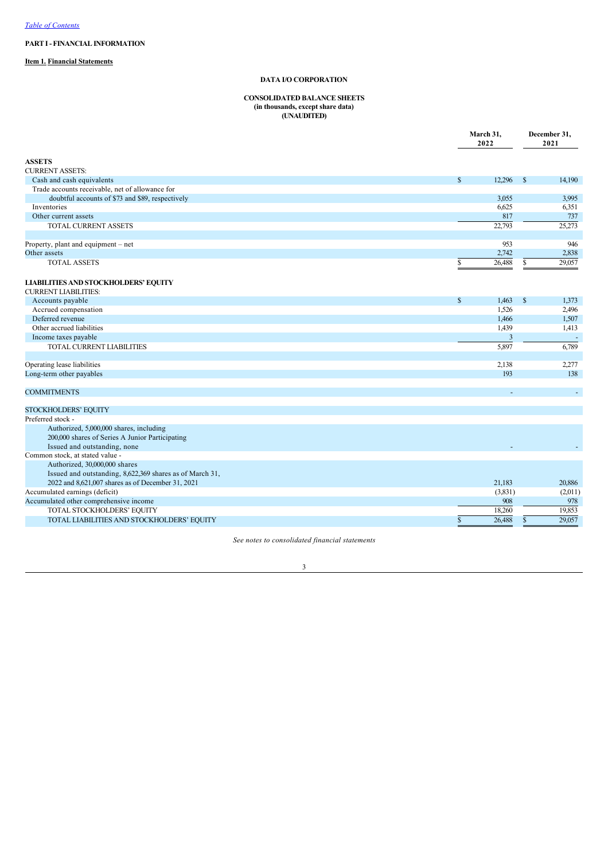# <span id="page-2-0"></span>**PART I FINANCIAL INFORMATION**

# <span id="page-2-1"></span>**Item 1. Financial Statements**

# **DATA I/O CORPORATION**

### **CONSOLIDATED BALANCE SHEETS (in thousands, except share data) (UNAUDITED)**

|                                                                            | March 31,<br>2022      | December 31,<br>2021   |
|----------------------------------------------------------------------------|------------------------|------------------------|
| <b>ASSETS</b>                                                              |                        |                        |
| <b>CURRENT ASSETS:</b>                                                     |                        |                        |
| Cash and cash equivalents                                                  | $\mathbb{S}$<br>12,296 | \$<br>14,190           |
| Trade accounts receivable, net of allowance for                            |                        |                        |
| doubtful accounts of \$73 and \$89, respectively                           | 3,055                  | 3,995                  |
| Inventories                                                                | 6,625                  | 6,351                  |
| Other current assets                                                       | 817                    | 737                    |
| TOTAL CURRENT ASSETS                                                       | 22,793                 | 25,273                 |
| Property, plant and equipment - net                                        | 953                    | 946                    |
| Other assets                                                               | 2,742                  | 2,838                  |
| <b>TOTAL ASSETS</b>                                                        | \$<br>26,488           | 29,057<br>\$           |
| <b>LIABILITIES AND STOCKHOLDERS' EQUITY</b><br><b>CURRENT LIABILITIES:</b> |                        |                        |
| Accounts payable                                                           | $\mathbf S$<br>1.463   | $\mathsf{\$}$<br>1,373 |
| Accrued compensation                                                       | 1,526                  | 2,496                  |
| Deferred revenue                                                           | 1,466                  | 1,507                  |
| Other accrued liabilities                                                  | 1,439                  | 1,413                  |
| Income taxes payable                                                       |                        | 3                      |
| <b>TOTAL CURRENT LIABILITIES</b>                                           | 5,897                  | 6,789                  |
| Operating lease liabilities                                                | 2,138                  | 2,277                  |
| Long-term other payables                                                   | 193                    | 138                    |
| <b>COMMITMENTS</b>                                                         |                        |                        |
| <b>STOCKHOLDERS' EQUITY</b>                                                |                        |                        |
| Preferred stock -                                                          |                        |                        |
| Authorized, 5,000,000 shares, including                                    |                        |                        |
| 200,000 shares of Series A Junior Participating                            |                        |                        |
| Issued and outstanding, none                                               |                        |                        |
| Common stock, at stated value -                                            |                        |                        |
| Authorized, 30,000,000 shares                                              |                        |                        |
| Issued and outstanding, 8,622,369 shares as of March 31,                   |                        |                        |
| 2022 and 8,621,007 shares as of December 31, 2021                          | 21.183                 | 20,886                 |
| Accumulated earnings (deficit)                                             | (3,831)                | (2,011)                |
| Accumulated other comprehensive income                                     | 908                    | 978                    |
| TOTAL STOCKHOLDERS' EQUITY                                                 | 18,260                 | 19,853                 |
| TOTAL LIABILITIES AND STOCKHOLDERS' EQUITY                                 | $\mathbb{S}$<br>26,488 | \$<br>29,057           |

*See notes to consolidated financial statements*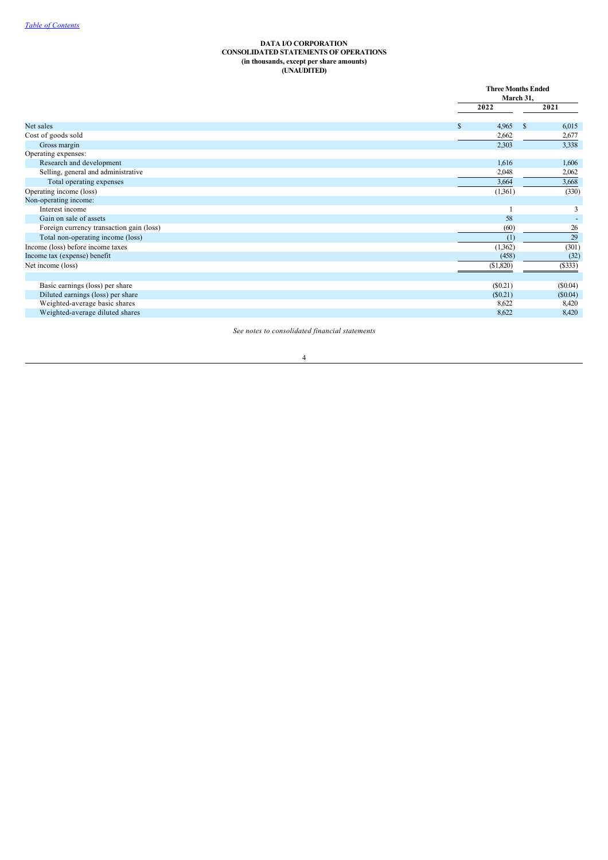#### **DATA I/O CORPORATION CONSOLIDATED STATEMENTS OF OPERATIONS (in thousands, except per share amounts) (UNAUDITED)**

|                                          | <b>Three Months Ended</b><br>March 31, |                       |  |
|------------------------------------------|----------------------------------------|-----------------------|--|
|                                          | 2022                                   | 2021                  |  |
| Net sales                                | $\mathbb{S}$<br>4,965                  | $\mathbb{S}$<br>6,015 |  |
| Cost of goods sold                       | 2,662                                  | 2,677                 |  |
| Gross margin                             | 2,303                                  | 3,338                 |  |
| Operating expenses:                      |                                        |                       |  |
| Research and development                 | 1,616                                  | 1,606                 |  |
| Selling, general and administrative      | 2,048                                  | 2,062                 |  |
| Total operating expenses                 | 3,664                                  | 3,668                 |  |
| Operating income (loss)                  | (1,361)                                | (330)                 |  |
| Non-operating income:                    |                                        |                       |  |
| Interest income                          |                                        | 3                     |  |
| Gain on sale of assets                   | 58                                     |                       |  |
| Foreign currency transaction gain (loss) | (60)                                   | 26                    |  |
| Total non-operating income (loss)        | (1)                                    | $\overline{29}$       |  |
| Income (loss) before income taxes        | (1, 362)                               | (301)                 |  |
| Income tax (expense) benefit             | (458)                                  | (32)                  |  |
| Net income (loss)                        | (\$1,820)                              | $(\$333)$             |  |
|                                          |                                        |                       |  |
| Basic earnings (loss) per share          | (\$0.21)                               | $(\$0.04)$            |  |
| Diluted earnings (loss) per share        | (\$0.21)                               | $(\$0.04)$            |  |
| Weighted-average basic shares            | 8,622                                  | 8,420                 |  |
| Weighted-average diluted shares          | 8,622                                  | 8,420                 |  |

*See notes to consolidated financial statements*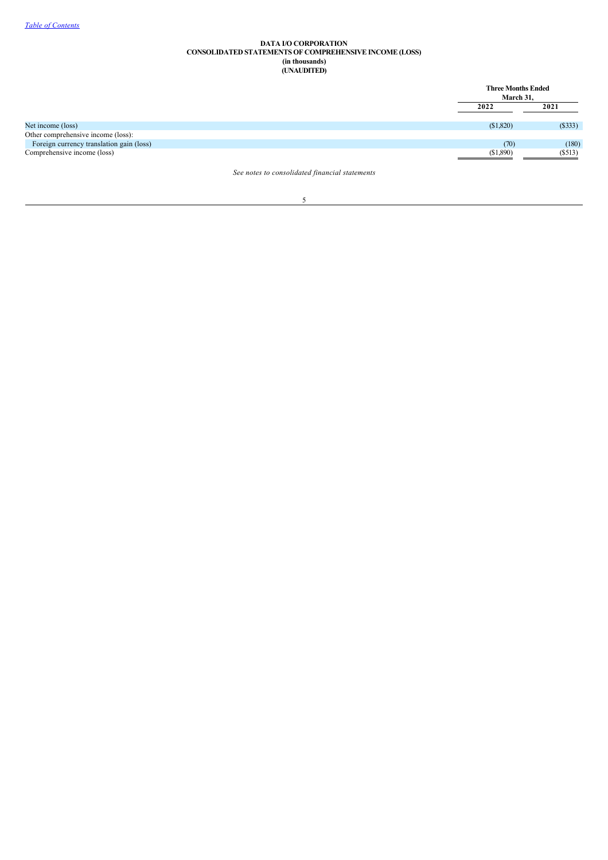### **DATA I/O CORPORATION CONSOLIDATED STATEMENTS OF COMPREHENSIVE INCOME (LOSS) (in thousands) (UNAUDITED)**

|                                          | <b>Three Months Ended</b><br>March 31, |           |
|------------------------------------------|----------------------------------------|-----------|
|                                          | 2022                                   | 2021      |
| Net income (loss)                        | (\$1,820)                              | $(\$333)$ |
| Other comprehensive income (loss):       |                                        |           |
| Foreign currency translation gain (loss) | (70)                                   | (180)     |
| Comprehensive income (loss)              | (\$1,890)                              | (S513)    |

*See notes to consolidated financial statements*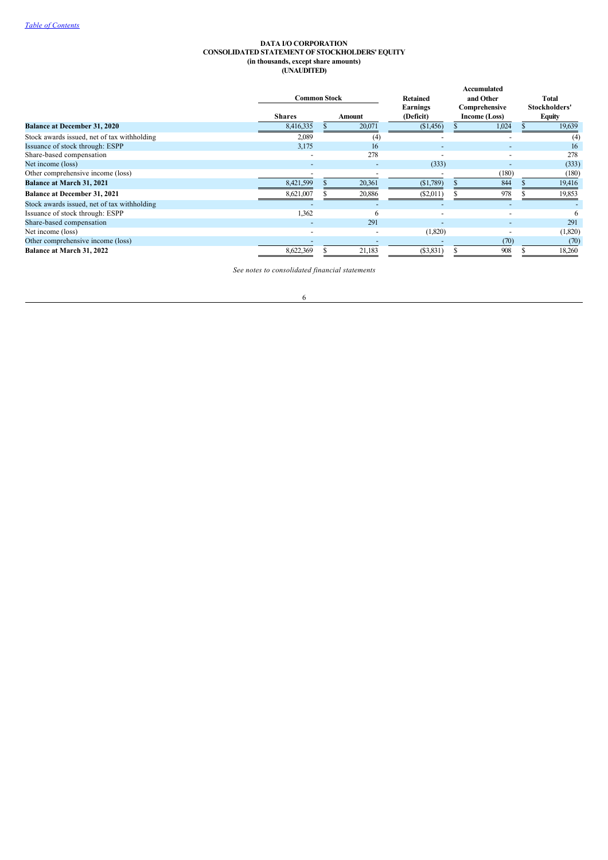### **DATA I/O CORPORATION CONSOLIDATED STATEMENT OF STOCKHOLDERS' EQUITY (in thousands, except share amounts) (UNAUDITED)**

|                                             | <b>Common Stock</b>      |                          | Accumulated<br>and Other<br><b>Retained</b><br>Comprehensive<br>Earnings |  |               | Total<br>Stockholders' |               |
|---------------------------------------------|--------------------------|--------------------------|--------------------------------------------------------------------------|--|---------------|------------------------|---------------|
|                                             | <b>Shares</b>            | Amount                   | (Deficit)                                                                |  | Income (Loss) |                        | <b>Equity</b> |
| <b>Balance at December 31, 2020</b>         | 8,416,335                | 20,071                   | (\$1,456)                                                                |  | 1,024         |                        | 19,639        |
| Stock awards issued, net of tax withholding | 2,089                    | (4)                      |                                                                          |  |               |                        | (4)           |
| Issuance of stock through: ESPP             | 3,175                    | 16                       |                                                                          |  |               |                        | 16            |
| Share-based compensation                    | $\overline{\phantom{a}}$ | 278                      |                                                                          |  |               |                        | 278           |
| Net income (loss)                           |                          |                          | (333)                                                                    |  |               |                        | (333)         |
| Other comprehensive income (loss)           |                          |                          |                                                                          |  | (180)         |                        | (180)         |
| <b>Balance at March 31, 2021</b>            | 8,421,599                | 20,361                   | (\$1,789)                                                                |  | 844           |                        | 19,416        |
| <b>Balance at December 31, 2021</b>         | 8,621,007                | 20,886                   | $(\$2,011)$                                                              |  | 978           |                        | 19,853        |
| Stock awards issued, net of tax withholding | $\overline{\phantom{a}}$ | $\overline{\phantom{0}}$ |                                                                          |  |               |                        |               |
| Issuance of stock through: ESPP             | 1,362                    | h                        |                                                                          |  |               |                        | 6             |
| Share-based compensation                    |                          | 291                      |                                                                          |  | -             |                        | 291           |
| Net income (loss)                           | $\overline{\phantom{a}}$ | $\overline{\phantom{0}}$ | (1,820)                                                                  |  |               |                        | (1,820)       |
| Other comprehensive income (loss)           |                          |                          |                                                                          |  | (70)          |                        | (70)          |
| Balance at March 31, 2022                   | 8,622,369                | 21,183                   | (S3, 831)                                                                |  | 908           |                        | 18,260        |

*See notes to consolidated financial statements*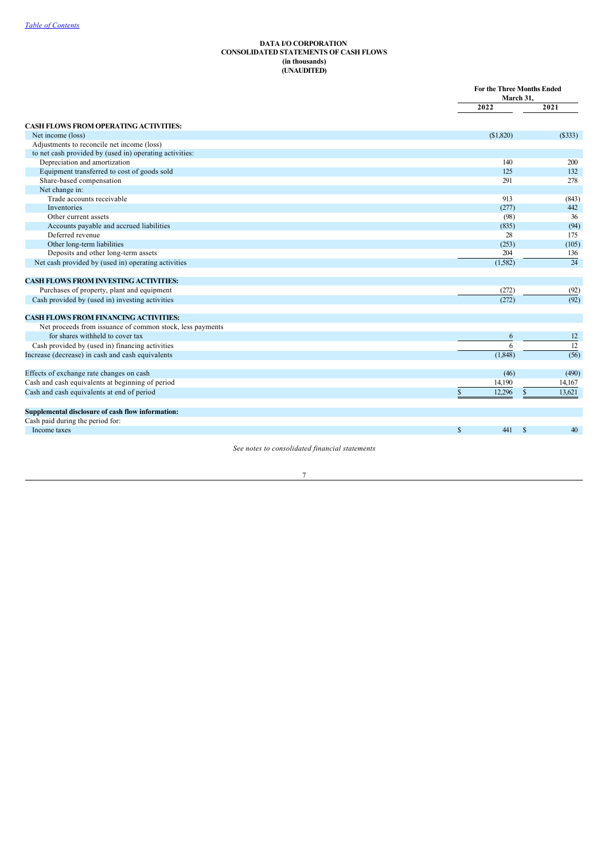## **DATA I/O CORPORATION CONSOLIDATED STATEMENTS OF CASH FLOWS (in thousands) (UNAUDITED)**

|                                                                 | <b>For the Three Months Ended</b><br>March 31, |                        |
|-----------------------------------------------------------------|------------------------------------------------|------------------------|
|                                                                 | 2022                                           | 2021                   |
|                                                                 |                                                |                        |
| <b>CASH FLOWS FROM OPERATING ACTIVITIES:</b>                    |                                                |                        |
| Net income (loss)<br>Adjustments to reconcile net income (loss) | (\$1,820)                                      | $(\$333)$              |
|                                                                 |                                                |                        |
| to net cash provided by (used in) operating activities:         | 140                                            |                        |
| Depreciation and amortization                                   |                                                | 200                    |
| Equipment transferred to cost of goods sold                     | 125                                            | 132                    |
| Share-based compensation                                        | 291                                            | 278                    |
| Net change in:                                                  |                                                |                        |
| Trade accounts receivable                                       | 913                                            | (843)                  |
| Inventories                                                     | (277)                                          | 442                    |
| Other current assets                                            | (98)                                           | 36                     |
| Accounts payable and accrued liabilities                        | (835)                                          | (94)                   |
| Deferred revenue                                                | 28                                             | 175                    |
| Other long-term liabilities                                     | (253)                                          | (105)                  |
| Deposits and other long-term assets                             | 204                                            | 136                    |
| Net cash provided by (used in) operating activities             | (1,582)                                        | 24                     |
| <b>CASH FLOWS FROM INVESTING ACTIVITIES:</b>                    |                                                |                        |
| Purchases of property, plant and equipment                      | (272)                                          | (92)                   |
| Cash provided by (used in) investing activities                 | (272)                                          | (92)                   |
| <b>CASH FLOWS FROM FINANCING ACTIVITIES:</b>                    |                                                |                        |
| Net proceeds from issuance of common stock, less payments       |                                                |                        |
| for shares withheld to cover tax                                | 6                                              | 12                     |
| Cash provided by (used in) financing activities                 | 6                                              | 12                     |
| Increase (decrease) in cash and cash equivalents                | (1,848)                                        | (56)                   |
| Effects of exchange rate changes on cash                        | (46)                                           | (490)                  |
| Cash and cash equivalents at beginning of period                | 14,190                                         | 14,167                 |
| Cash and cash equivalents at end of period                      | $\mathbf S$<br>12,296                          | $\mathbb{S}$<br>13,621 |
| Supplemental disclosure of cash flow information:               |                                                |                        |
| Cash paid during the period for:                                |                                                |                        |
| Income taxes                                                    | S<br>441                                       | 40<br>$\mathcal{S}$    |
|                                                                 |                                                |                        |

*See notes to consolidated financial statements*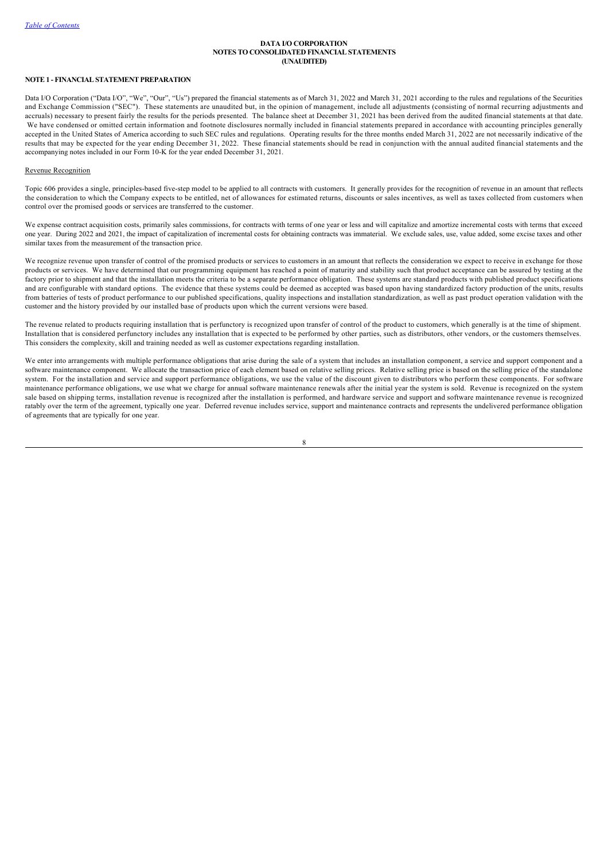### **DATA I/O CORPORATION NOTES TO CONSOLIDATED FINANCIAL STATEMENTS (UNAUDITED)**

# **NOTE 1 FINANCIAL STATEMENT PREPARATION**

Data I/O Corporation ("Data I/O", "We", "Our", "Us") prepared the financial statements as of March 31, 2022 and March 31, 2021 according to the rules and regulations of the Securities and Exchange Commission ("SEC"). These statements are unaudited but, in the opinion of management, include all adjustments (consisting of normal recurring adjustments and accruals) necessary to present fairly the results for the periods presented. The balance sheet at December 31, 2021 has been derived from the audited financial statements at that date. We have condensed or omitted certain information and footnote disclosures normally included in financial statements prepared in accordance with accounting principles generally accepted in the United States of America according to such SEC rules and regulations. Operating results for the three months ended March 31, 2022 are not necessarily indicative of the results that may be expected for the year ending December 31, 2022. These financial statements should be read in conjunction with the annual audited financial statements and the accompanying notes included in our Form 10K for the year ended December 31, 2021.

#### Revenue Recognition

Topic 606 provides a single, principles-based five-step model to be applied to all contracts with customers. It generally provides for the recognition of revenue in an amount that reflects the consideration to which the Company expects to be entitled, net of allowances for estimated returns, discounts or sales incentives, as well as taxes collected from customers when control over the promised goods or services are transferred to the customer.

We expense contract acquisition costs, primarily sales commissions, for contracts with terms of one year or less and will capitalize and amortize incremental costs with terms that exceed one year. During 2022 and 2021, the impact of capitalization of incremental costs for obtaining contracts was immaterial. We exclude sales, use, value added, some excise taxes and other similar taxes from the measurement of the transaction price.

We recognize revenue upon transfer of control of the promised products or services to customers in an amount that reflects the consideration we expect to receive in exchange for those products or services. We have determined that our programming equipment has reached a point of maturity and stability such that product acceptance can be assured by testing at the factory prior to shipment and that the installation meets the criteria to be a separate performance obligation. These systems are standard products with published product specifications and are configurable with standard options. The evidence that these systems could be deemed as accepted was based upon having standardized factory production of the units, results from batteries of tests of product performance to our published specifications, quality inspections and installation standardization, as well as past product operation validation with the customer and the history provided by our installed base of products upon which the current versions were based.

The revenue related to products requiring installation that is perfunctory is recognized upon transfer of control of the product to customers, which generally is at the time of shipment. Installation that is considered perfunctory includes any installation that is expected to be performed by other parties, such as distributors, other vendors, or the customers themselves. This considers the complexity, skill and training needed as well as customer expectations regarding installation.

We enter into arrangements with multiple performance obligations that arise during the sale of a system that includes an installation component, a service and support component and a software maintenance component. We allocate the transaction price of each element based on relative selling prices. Relative selling price is based on the selling price of the standalone system. For the installation and service and support performance obligations, we use the value of the discount given to distributors who perform these components. For software maintenance performance obligations, we use what we charge for annual software maintenance renewals after the initial year the system is sold. Revenue is recognized on the system sale based on shipping terms, installation revenue is recognized after the installation is performed, and hardware service and support and software maintenance revenue is recognized ratably over the term of the agreement, typically one year. Deferred revenue includes service, support and maintenance contracts and represents the undelivered performance obligation of agreements that are typically for one year.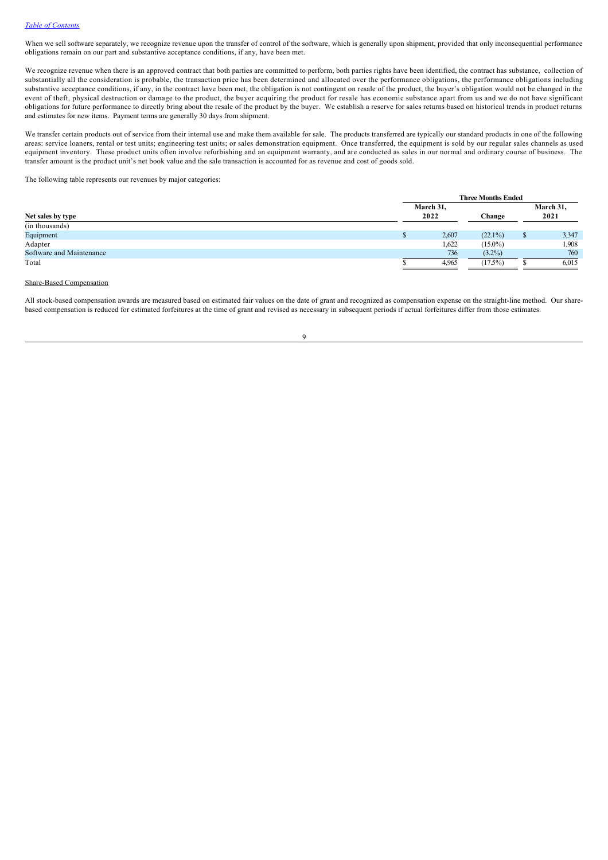When we sell software separately, we recognize revenue upon the transfer of control of the software, which is generally upon shipment, provided that only inconsequential performance obligations remain on our part and substantive acceptance conditions, if any, have been met.

We recognize revenue when there is an approved contract that both parties are committed to perform, both parties rights have been identified, the contract has substance, collection of substantially all the consideration is probable, the transaction price has been determined and allocated over the performance obligations, the performance obligations including substantive acceptance conditions, if any, in the contract have been met, the obligation is not contingent on resale of the product, the buyer's obligation would not be changed in the event of theft, physical destruction or damage to the product, the buyer acquiring the product for resale has economic substance apart from us and we do not have significant obligations for future performance to directly bring about the resale of the product by the buyer. We establish a reserve for sales returns based on historical trends in product returns and estimates for new items. Payment terms are generally 30 days from shipment.

We transfer certain products out of service from their internal use and make them available for sale. The products transferred are typically our standard products in one of the following areas: service loaners, rental or test units; engineering test units; or sales demonstration equipment. Once transferred, the equipment is sold by our regular sales channels as used equipment inventory. These product units often involve refurbishing and an equipment warranty, and are conducted as sales in our normal and ordinary course of business. The transfer amount is the product unit's net book value and the sale transaction is accounted for as revenue and cost of goods sold.

The following table represents our revenues by major categories:

|                          |                   | <b>Three Months Ended</b> |  |                   |
|--------------------------|-------------------|---------------------------|--|-------------------|
| Net sales by type        | March 31,<br>2022 | Change                    |  | March 31,<br>2021 |
| (in thousands)           |                   |                           |  |                   |
| Equipment                | 2,607             | $(22.1\%)$                |  | 3,347             |
| Adapter                  | 1,622             | $(15.0\%)$                |  | 1,908             |
| Software and Maintenance | 736               | $(3.2\%)$                 |  | 760               |
| Total                    | 4.965             | $(17.5\%)$                |  | 6,015             |

## Share-Based Compensation

All stock-based compensation awards are measured based on estimated fair values on the date of grant and recognized as compensation expense on the straight-line method. Our sharebased compensation is reduced for estimated forfeitures at the time of grant and revised as necessary in subsequent periods if actual forfeitures differ from those estimates.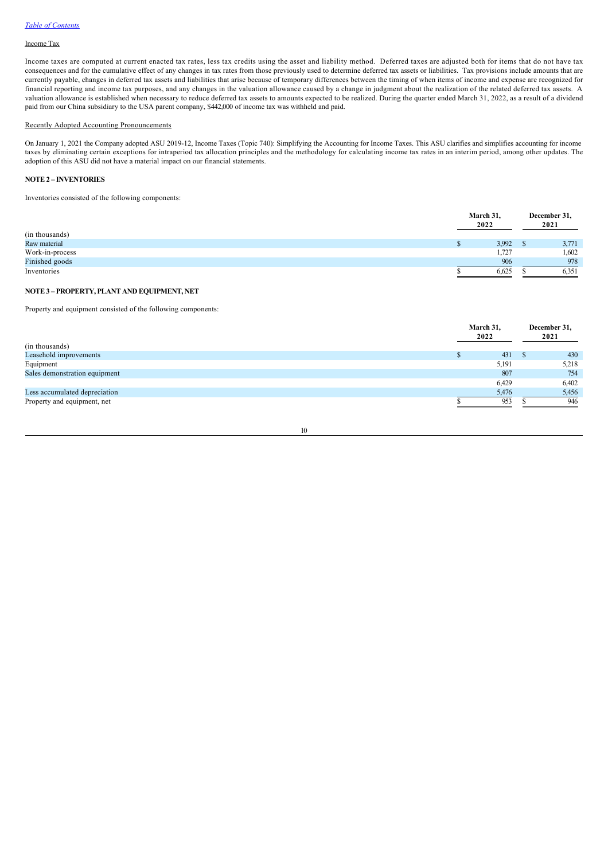# Income Tax

Income taxes are computed at current enacted tax rates, less tax credits using the asset and liability method. Deferred taxes are adjusted both for items that do not have tax consequences and for the cumulative effect of any changes in tax rates from those previously used to determine deferred tax assets or liabilities. Tax provisions include amounts that are currently payable, changes in deferred tax assets and liabilities that arise because of temporary differences between the timing of when items of income and expense are recognized for financial reporting and income tax purposes, and any changes in the valuation allowance caused by a change in judgment about the realization of the related deferred tax assets. A valuation allowance is established when necessary to reduce deferred tax assets to amounts expected to be realized. During the quarter ended March 31, 2022, as a result of a dividend paid from our China subsidiary to the USA parent company, \$442,000 of income tax was withheld and paid.

#### Recently Adopted Accounting Pronouncements

On January 1, 2021 the Company adopted ASU 2019-12, Income Taxes (Topic 740): Simplifying the Accounting for Income Taxes. This ASU clarifies and simplifies accounting for income taxes by eliminating certain exceptions for intraperiod tax allocation principles and the methodology for calculating income tax rates in an interim period, among other updates. The adoption of this ASU did not have a material impact on our financial statements.

## **NOTE 2 – INVENTORIES**

Inventories consisted of the following components:

|                 | March 31,<br>2022 | December 31,<br>2021 |
|-----------------|-------------------|----------------------|
| (in thousands)  |                   |                      |
| Raw material    | 3,992             | 3,771                |
| Work-in-process | 1,727             | 1,602                |
| Finished goods  | 906               | 978                  |
| Inventories     | 6,625             | 6,351                |

# **NOTE 3 – PROPERTY, PLANT AND EQUIPMENT, NET**

Property and equipment consisted of the following components:

|                               | March 31,<br>2022 |  | December 31,<br>2021 |  |
|-------------------------------|-------------------|--|----------------------|--|
| (in thousands)                |                   |  |                      |  |
| Leasehold improvements        | 431               |  | 430                  |  |
| Equipment                     | 5,191             |  | 5,218                |  |
| Sales demonstration equipment | 807               |  | 754                  |  |
|                               | 6,429             |  | 6,402                |  |
| Less accumulated depreciation | 5,476             |  | 5,456                |  |
| Property and equipment, net   | 953               |  | 946                  |  |

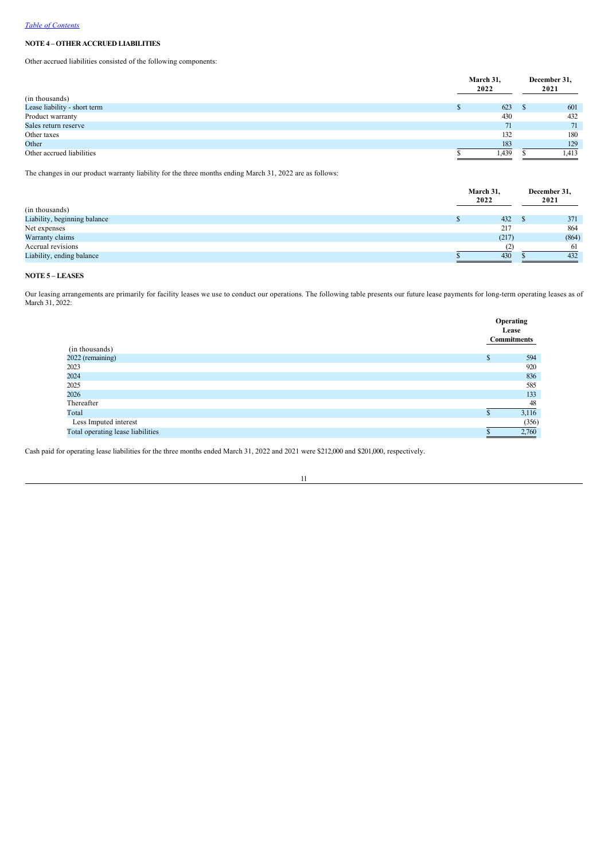# **NOTE 4 – OTHER ACCRUED LIABILITIES**

Other accrued liabilities consisted of the following components:

|                              |  | March 31,<br>2022 | December 31,<br>2021 |       |  |
|------------------------------|--|-------------------|----------------------|-------|--|
| (in thousands)               |  |                   |                      |       |  |
| Lease liability - short term |  | 623               |                      | 601   |  |
| Product warranty             |  | 430               |                      | 432   |  |
| Sales return reserve         |  | 71                |                      | 71    |  |
| Other taxes                  |  | 132               |                      | 180   |  |
| Other                        |  | 183               |                      | 129   |  |
| Other accrued liabilities    |  | 1,439             |                      | 1,413 |  |

The changes in our product warranty liability for the three months ending March 31, 2022 are as follows:

|                              | March 31,<br>2022 | December 31,<br>2021 |
|------------------------------|-------------------|----------------------|
| (in thousands)               |                   |                      |
| Liability, beginning balance | 432               | 371                  |
| Net expenses                 | 217               | 864                  |
| Warranty claims              | (217)             | (864)                |
| Accrual revisions            | 2)                | 61                   |
| Liability, ending balance    | 430               | 432                  |

# **NOTE 5 – LEASES**

Our leasing arrangements are primarily for facility leases we use to conduct our operations. The following table presents our future lease payments for long-term operating leases as of March 31, 2022:

| (in thousands)                    |             | <b>Operating</b><br>Lease<br><b>Commitments</b> |
|-----------------------------------|-------------|-------------------------------------------------|
| 2022 (remaining)                  | $\mathbf S$ | 594                                             |
| 2023                              |             | 920                                             |
| 2024                              |             | 836                                             |
| 2025                              |             | 585                                             |
| 2026                              |             | 133                                             |
| Thereafter                        |             | 48                                              |
| Total                             | \$          | 3,116                                           |
| Less Imputed interest             |             | (356)                                           |
| Total operating lease liabilities | ¢<br>Ф      | 2,760                                           |

Cash paid for operating lease liabilities for the three months ended March 31, 2022 and 2021 were \$212,000 and \$201,000, respectively.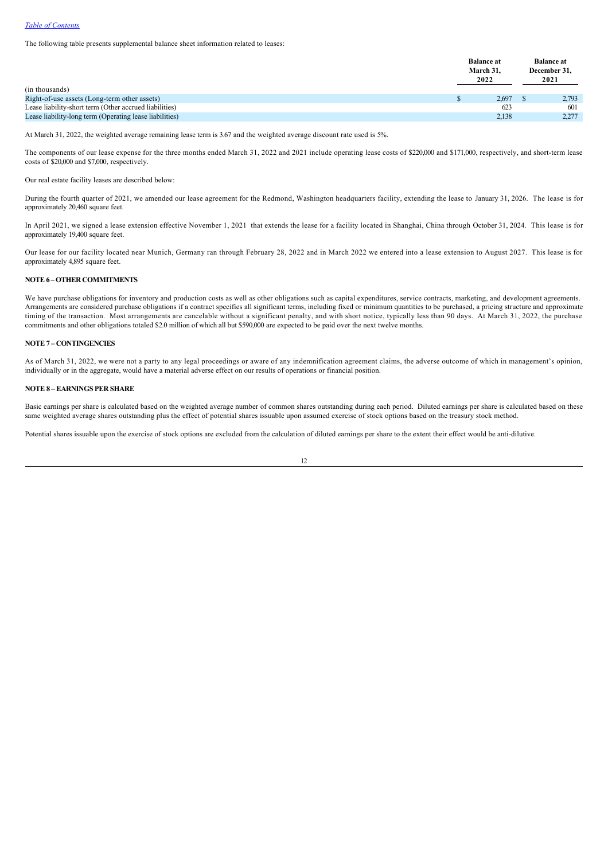The following table presents supplemental balance sheet information related to leases:

|                                                         | <b>Balance at</b><br>March 31.<br>2022 | <b>Balance at</b><br>December 31,<br>2021 |
|---------------------------------------------------------|----------------------------------------|-------------------------------------------|
| (in thousands)                                          |                                        |                                           |
| Right-of-use assets (Long-term other assets)            | 2.697                                  | 2,793                                     |
| Lease liability-short term (Other accrued liabilities)  | 623                                    | 601                                       |
| Lease liability-long term (Operating lease liabilities) | 2,138                                  | 2.277                                     |

At March 31, 2022, the weighted average remaining lease term is 3.67 and the weighted average discount rate used is 5%.

The components of our lease expense for the three months ended March 31, 2022 and 2021 include operating lease costs of \$220,000 and \$171,000, respectively, and shortterm lease costs of \$20,000 and \$7,000, respectively.

Our real estate facility leases are described below:

During the fourth quarter of 2021, we amended our lease agreement for the Redmond, Washington headquarters facility, extending the lease to January 31, 2026. The lease is for approximately 20,460 square feet.

In April 2021, we signed a lease extension effective November 1, 2021 that extends the lease for a facility located in Shanghai, China through October 31, 2024. This lease is for approximately 19,400 square feet.

Our lease for our facility located near Munich, Germany ran through February 28, 2022 and in March 2022 we entered into a lease extension to August 2027. This lease is for approximately 4,895 square feet.

### **NOTE 6 – OTHER COMMITMENTS**

We have purchase obligations for inventory and production costs as well as other obligations such as capital expenditures, service contracts, marketing, and development agreements. Arrangements are considered purchase obligations if a contract specifies all significant terms, including fixed or minimum quantities to be purchased, a pricing structure and approximate timing of the transaction. Most arrangements are cancelable without a significant penalty, and with short notice, typically less than 90 days. At March 31, 2022, the purchase commitments and other obligations totaled \$2.0 million of which all but \$590,000 are expected to be paid over the next twelve months.

### **NOTE 7 – CONTINGENCIES**

As of March 31, 2022, we were not a party to any legal proceedings or aware of any indemnification agreement claims, the adverse outcome of which in management's opinion, individually or in the aggregate, would have a material adverse effect on our results of operations or financial position.

#### **NOTE 8 – EARNINGS PER SHARE**

Basic earnings per share is calculated based on the weighted average number of common shares outstanding during each period. Diluted earnings per share is calculated based on these same weighted average shares outstanding plus the effect of potential shares issuable upon assumed exercise of stock options based on the treasury stock method.

Potential shares issuable upon the exercise of stock options are excluded from the calculation of diluted earnings per share to the extent their effect would be anti-dilutive.

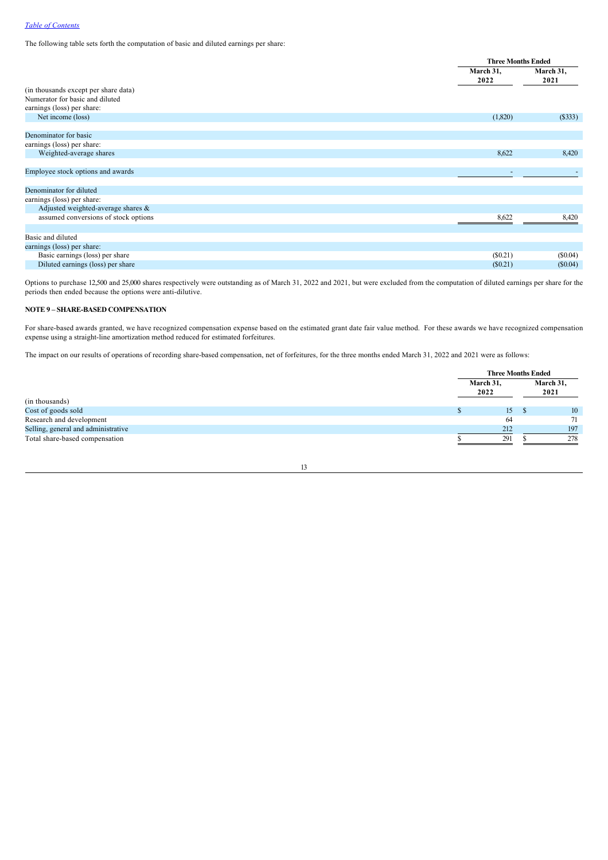The following table sets forth the computation of basic and diluted earnings per share:

|                                      | <b>Three Months Ended</b> |                   |  |
|--------------------------------------|---------------------------|-------------------|--|
|                                      | March 31,<br>2022         | March 31,<br>2021 |  |
| (in thousands except per share data) |                           |                   |  |
| Numerator for basic and diluted      |                           |                   |  |
| earnings (loss) per share:           |                           |                   |  |
| Net income (loss)                    | (1,820)                   | $(\$333)$         |  |
|                                      |                           |                   |  |
| Denominator for basic                |                           |                   |  |
| earnings (loss) per share:           |                           |                   |  |
| Weighted-average shares              | 8,622                     | 8,420             |  |
|                                      |                           |                   |  |
| Employee stock options and awards    | $\overline{a}$            |                   |  |
|                                      |                           |                   |  |
| Denominator for diluted              |                           |                   |  |
| earnings (loss) per share:           |                           |                   |  |
| Adjusted weighted-average shares &   |                           |                   |  |
| assumed conversions of stock options | 8,622                     | 8,420             |  |
|                                      |                           |                   |  |
| Basic and diluted                    |                           |                   |  |
| earnings (loss) per share:           |                           |                   |  |
| Basic earnings (loss) per share      | $(\$0.21)$                | $(\$0.04)$        |  |
| Diluted earnings (loss) per share    | (\$0.21)                  | (\$0.04)          |  |

Options to purchase 12,500 and 25,000 shares respectively were outstanding as of March 31, 2022 and 2021, but were excluded from the computation of diluted earnings per share for the periods then ended because the options were anti-dilutive.

# **NOTE 9 – SHARE-BASED COMPENSATION**

For share-based awards granted, we have recognized compensation expense based on the estimated grant date fair value method. For these awards we have recognized compensation expense using a straight-line amortization method reduced for estimated forfeitures.

The impact on our results of operations of recording share-based compensation, net of forfeitures, for the three months ended March 31, 2022 and 2021 were as follows:

|                                     | <b>Three Months Ended</b> |  |                   |  |
|-------------------------------------|---------------------------|--|-------------------|--|
|                                     | March 31,<br>2022         |  | March 31,<br>2021 |  |
| (in thousands)                      |                           |  |                   |  |
| Cost of goods sold                  | 15.                       |  | 10                |  |
| Research and development            | 64                        |  | 71                |  |
| Selling, general and administrative | 212                       |  | 197               |  |
| Total share-based compensation      | 291                       |  | 278               |  |

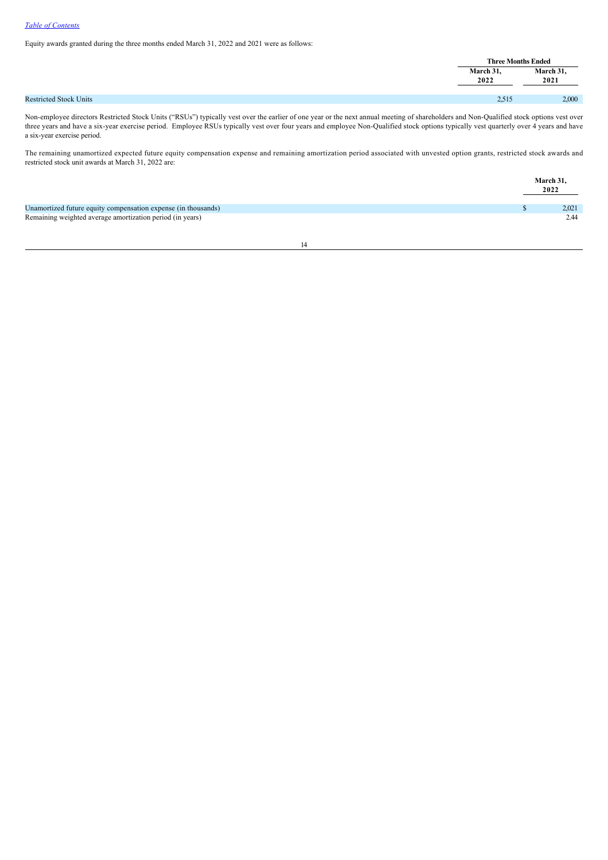Equity awards granted during the three months ended March 31, 2022 and 2021 were as follows:

|                               |                   | <b>Three Months Ended</b> |
|-------------------------------|-------------------|---------------------------|
|                               | March 31.<br>2022 | March 31,<br>2021         |
| <b>Restricted Stock Units</b> | 2,515             | 2,000                     |

Non-employee directors Restricted Stock Units ("RSUs") typically vest over the earlier of one year or the next annual meeting of shareholders and Non-Qualified stock options vest over three years and have a six-year exercise period. Employee RSUs typically vest over four years and employee Non-Qualified stock options typically vest quarterly over 4 years and have a six-year exercise period.

The remaining unamortized expected future equity compensation expense and remaining amortization period associated with unvested option grants, restricted stock awards and restricted stock unit awards at March 31, 2022 are:

|                                                               | March 31,<br>2022 |
|---------------------------------------------------------------|-------------------|
| Unamortized future equity compensation expense (in thousands) | 2,021             |
| Remaining weighted average amortization period (in years)     | 2.44              |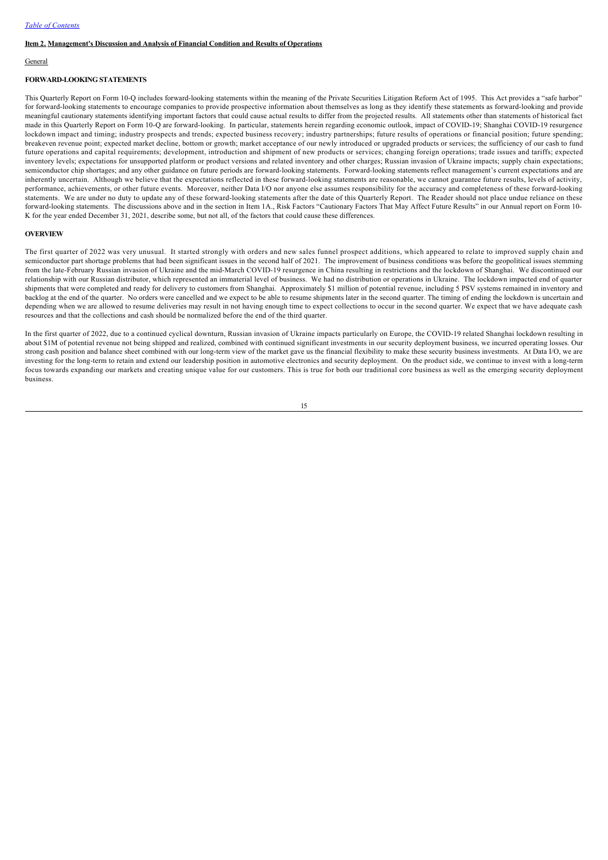### <span id="page-14-0"></span>**Item 2. Management's Discussion and Analysis of Financial Condition and Results of Operations**

#### General

#### **FORWARDLOOKING STATEMENTS**

This Quarterly Report on Form 10-Q includes forward-looking statements within the meaning of the Private Securities Litigation Reform Act of 1995. This Act provides a "safe harbor" for forward-looking statements to encourage companies to provide prospective information about themselves as long as they identify these statements as forward-looking and provide meaningful cautionary statements identifying important factors that could cause actual results to differ from the projected results. All statements other than statements of historical fact made in this Quarterly Report on Form 10-Q are forward-looking. In particular, statements herein regarding economic outlook, impact of COVID-19; Shanghai COVID-19 resurgence lockdown impact and timing; industry prospects and trends; expected business recovery; industry partnerships; future results of operations or financial position; future spending; breakeven revenue point; expected market decline, bottom or growth; market acceptance of our newly introduced or upgraded products or services; the sufficiency of our cash to fund future operations and capital requirements; development, introduction and shipment of new products or services; changing foreign operations; trade issues and tariffs; expected inventory levels; expectations for unsupported platform or product versions and related inventory and other charges; Russian invasion of Ukraine impacts; supply chain expectations; semiconductor chip shortages; and any other guidance on future periods are forward-looking statements. Forward-looking statements reflect management's current expectations and are inherently uncertain. Although we believe that the expectations reflected in these forward-looking statements are reasonable, we cannot guarantee future results, levels of activity, performance, achievements, or other future events. Moreover, neither Data I/O nor anyone else assumes responsibility for the accuracy and completeness of these forward-looking statements. We are under no duty to update any of these forward-looking statements after the date of this Quarterly Report. The Reader should not place undue reliance on these forward-looking statements. The discussions above and in the section in Item 1A., Risk Factors "Cautionary Factors That May Affect Future Results" in our Annual report on Form 10-K for the year ended December 31, 2021, describe some, but not all, of the factors that could cause these differences.

#### **OVERVIEW**

The first quarter of 2022 was very unusual. It started strongly with orders and new sales funnel prospect additions, which appeared to relate to improved supply chain and semiconductor part shortage problems that had been significant issues in the second half of 2021. The improvement of business conditions was before the geopolitical issues stemming from the late-February Russian invasion of Ukraine and the mid-March COVID-19 resurgence in China resulting in restrictions and the lockdown of Shanghai. We discontinued our relationship with our Russian distributor, which represented an immaterial level of business. We had no distribution or operations in Ukraine. The lockdown impacted end of quarter shipments that were completed and ready for delivery to customers from Shanghai. Approximately \$1 million of potential revenue, including 5 PSV systems remained in inventory and backlog at the end of the quarter. No orders were cancelled and we expect to be able to resume shipments later in the second quarter. The timing of ending the lockdown is uncertain and depending when we are allowed to resume deliveries may result in not having enough time to expect collections to occur in the second quarter. We expect that we have adequate cash resources and that the collections and cash should be normalized before the end of the third quarter.

In the first quarter of 2022, due to a continued cyclical downturn, Russian invasion of Ukraine impacts particularly on Europe, the COVID-19 related Shanghai lockdown resulting in about \$1M of potential revenue not being shipped and realized, combined with continued significant investments in our security deployment business, we incurred operating losses. Our strong cash position and balance sheet combined with our long-term view of the market gave us the financial flexibility to make these security business investments. At Data I/O, we are investing for the long-term to retain and extend our leadership position in automotive electronics and security deployment. On the product side, we continue to invest with a long-term focus towards expanding our markets and creating unique value for our customers. This is true for both our traditional core business as well as the emerging security deployment business.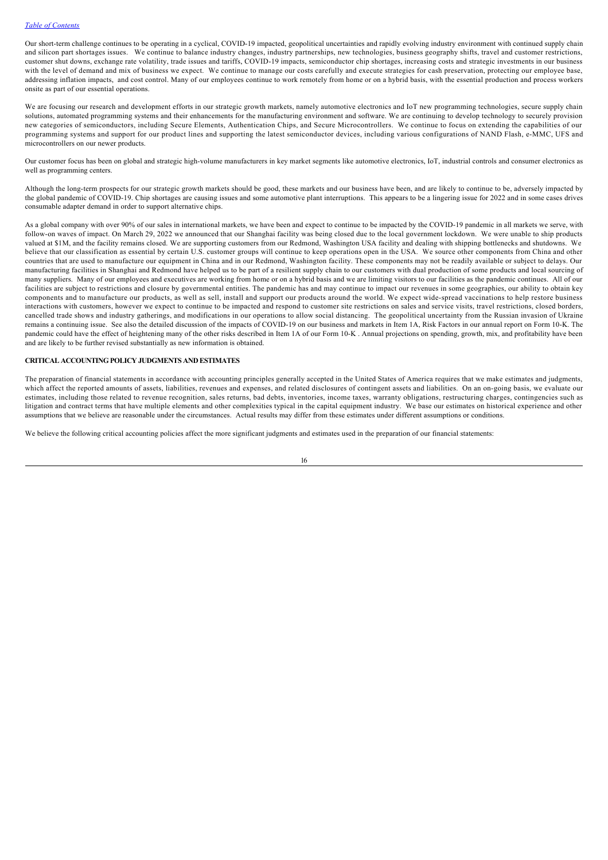Our short-term challenge continues to be operating in a cyclical, COVID-19 impacted, geopolitical uncertainties and rapidly evolving industry environment with continued supply chain and silicon part shortages issues. We continue to balance industry changes, industry partnerships, new technologies, business geography shifts, travel and customer restrictions, customer shut downs, exchange rate volatility, trade issues and tariffs, COVID19 impacts, semiconductor chip shortages, increasing costs and strategic investments in our business with the level of demand and mix of business we expect. We continue to manage our costs carefully and execute strategies for cash preservation, protecting our employee base, addressing inflation impacts, and cost control. Many of our employees continue to work remotely from home or on a hybrid basis, with the essential production and process workers onsite as part of our essential operations.

We are focusing our research and development efforts in our strategic growth markets, namely automotive electronics and IoT new programming technologies, secure supply chain solutions, automated programming systems and their enhancements for the manufacturing environment and software. We are continuing to develop technology to securely provision new categories of semiconductors, including Secure Elements, Authentication Chips, and Secure Microcontrollers. We continue to focus on extending the capabilities of our programming systems and support for our product lines and supporting the latest semiconductor devices, including various configurations of NAND Flash, e-MMC, UFS and microcontrollers on our newer products.

Our customer focus has been on global and strategic high-volume manufacturers in key market segments like automotive electronics. IoT, industrial controls and consumer electronics as well as programming centers.

Although the long-term prospects for our strategic growth markets should be good, these markets and our business have been, and are likely to continue to be, adversely impacted by the global pandemic of COVID-19. Chip shortages are causing issues and some automotive plant interruptions. This appears to be a lingering issue for 2022 and in some cases drives consumable adapter demand in order to support alternative chips.

As a global company with over 90% of our sales in international markets, we have been and expect to continue to be impacted by the COVID-19 pandemic in all markets we serve, with followon waves of impact. On March 29, 2022 we announced that our Shanghai facility was being closed due to the local government lockdown. We were unable to ship products valued at \$1M, and the facility remains closed. We are supporting customers from our Redmond, Washington USA facility and dealing with shipping bottlenecks and shutdowns. We believe that our classification as essential by certain U.S. customer groups will continue to keep operations open in the USA. We source other components from China and other countries that are used to manufacture our equipment in China and in our Redmond, Washington facility. These components may not be readily available or subject to delays. Our manufacturing facilities in Shanghai and Redmond have helped us to be part of a resilient supply chain to our customers with dual production of some products and local sourcing of many suppliers. Many of our employees and executives are working from home or on a hybrid basis and we are limiting visitors to our facilities as the pandemic continues. All of our facilities are subject to restrictions and closure by governmental entities. The pandemic has and may continue to impact our revenues in some geographies, our ability to obtain key components and to manufacture our products, as well as sell, install and support our products around the world. We expect widespread vaccinations to help restore business interactions with customers, however we expect to continue to be impacted and respond to customer site restrictions on sales and service visits, travel restrictions, closed borders, cancelled trade shows and industry gatherings, and modifications in our operations to allow social distancing. The geopolitical uncertainty from the Russian invasion of Ukraine remains a continuing issue. See also the detailed discussion of the impacts of COVID-19 on our business and markets in Item 1A, Risk Factors in our annual report on Form 10-K. The pandemic could have the effect of heightening many of the other risks described in Item 1A of our Form 10-K . Annual projections on spending, growth, mix, and profitability have been and are likely to be further revised substantially as new information is obtained.

## **CRITICAL ACCOUNTING POLICY JUDGMENTS AND ESTIMATES**

The preparation of financial statements in accordance with accounting principles generally accepted in the United States of America requires that we make estimates and judgments, which affect the reported amounts of assets, liabilities, revenues and expenses, and related disclosures of contingent assets and liabilities. On an on-going basis, we evaluate our estimates, including those related to revenue recognition, sales returns, bad debts, inventories, income taxes, warranty obligations, restructuring charges, contingencies such as litigation and contract terms that have multiple elements and other complexities typical in the capital equipment industry. We base our estimates on historical experience and other assumptions that we believe are reasonable under the circumstances. Actual results may differ from these estimates under different assumptions or conditions.

We believe the following critical accounting policies affect the more significant judgments and estimates used in the preparation of our financial statements: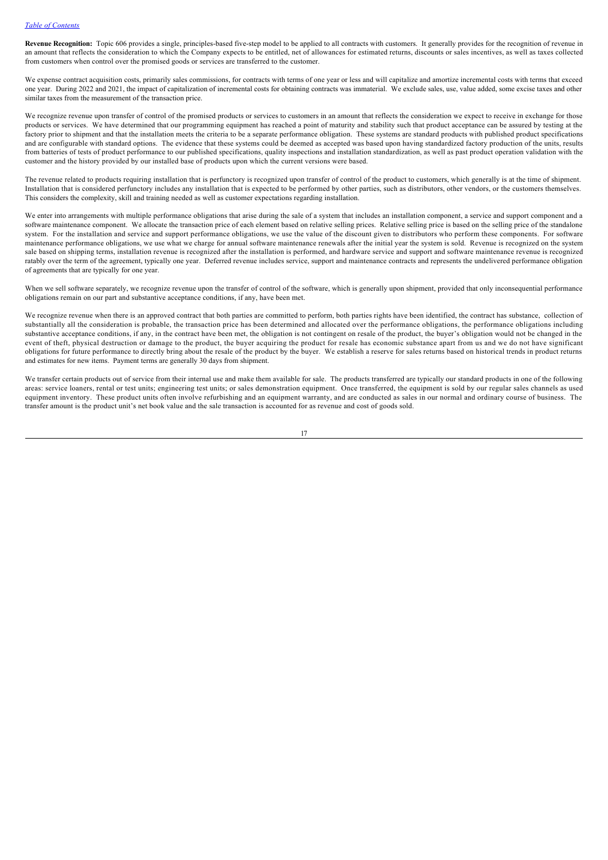Revenue Recognition: Topic 606 provides a single, principles-based five-step model to be applied to all contracts with customers. It generally provides for the recognition of revenue in an amount that reflects the consideration to which the Company expects to be entitled, net of allowances for estimated returns, discounts or sales incentives, as well as taxes collected from customers when control over the promised goods or services are transferred to the customer.

We expense contract acquisition costs, primarily sales commissions, for contracts with terms of one year or less and will capitalize and amortize incremental costs with terms that exceed one year. During 2022 and 2021, the impact of capitalization of incremental costs for obtaining contracts was immaterial. We exclude sales, use, value added, some excise taxes and other similar taxes from the measurement of the transaction price.

We recognize revenue upon transfer of control of the promised products or services to customers in an amount that reflects the consideration we expect to receive in exchange for those products or services. We have determined that our programming equipment has reached a point of maturity and stability such that product acceptance can be assured by testing at the factory prior to shipment and that the installation meets the criteria to be a separate performance obligation. These systems are standard products with published product specifications and are configurable with standard options. The evidence that these systems could be deemed as accepted was based upon having standardized factory production of the units, results from batteries of tests of product performance to our published specifications, quality inspections and installation standardization, as well as past product operation validation with the customer and the history provided by our installed base of products upon which the current versions were based.

The revenue related to products requiring installation that is perfunctory is recognized upon transfer of control of the product to customers, which generally is at the time of shipment. Installation that is considered perfunctory includes any installation that is expected to be performed by other parties, such as distributors, other vendors, or the customers themselves. This considers the complexity, skill and training needed as well as customer expectations regarding installation.

We enter into arrangements with multiple performance obligations that arise during the sale of a system that includes an installation component, a service and support component and a software maintenance component. We allocate the transaction price of each element based on relative selling prices. Relative selling price is based on the selling price of the standalone system. For the installation and service and support performance obligations, we use the value of the discount given to distributors who perform these components. For software maintenance performance obligations, we use what we charge for annual software maintenance renewals after the initial year the system is sold. Revenue is recognized on the system sale based on shipping terms, installation revenue is recognized after the installation is performed, and hardware service and support and software maintenance revenue is recognized ratably over the term of the agreement, typically one year. Deferred revenue includes service, support and maintenance contracts and represents the undelivered performance obligation of agreements that are typically for one year.

When we sell software separately, we recognize revenue upon the transfer of control of the software, which is generally upon shipment, provided that only inconsequential performance obligations remain on our part and substantive acceptance conditions, if any, have been met.

We recognize revenue when there is an approved contract that both parties are committed to perform, both parties rights have been identified, the contract has substance, collection of substantially all the consideration is probable, the transaction price has been determined and allocated over the performance obligations, the performance obligations including substantive acceptance conditions, if any, in the contract have been met, the obligation is not contingent on resale of the product, the buyer's obligation would not be changed in the event of theft, physical destruction or damage to the product, the buyer acquiring the product for resale has economic substance apart from us and we do not have significant obligations for future performance to directly bring about the resale of the product by the buyer. We establish a reserve for sales returns based on historical trends in product returns and estimates for new items. Payment terms are generally 30 days from shipment.

We transfer certain products out of service from their internal use and make them available for sale. The products transferred are typically our standard products in one of the following areas: service loaners, rental or test units; engineering test units; or sales demonstration equipment. Once transferred, the equipment is sold by our regular sales channels as used equipment inventory. These product units often involve refurbishing and an equipment warranty, and are conducted as sales in our normal and ordinary course of business. The transfer amount is the product unit's net book value and the sale transaction is accounted for as revenue and cost of goods sold.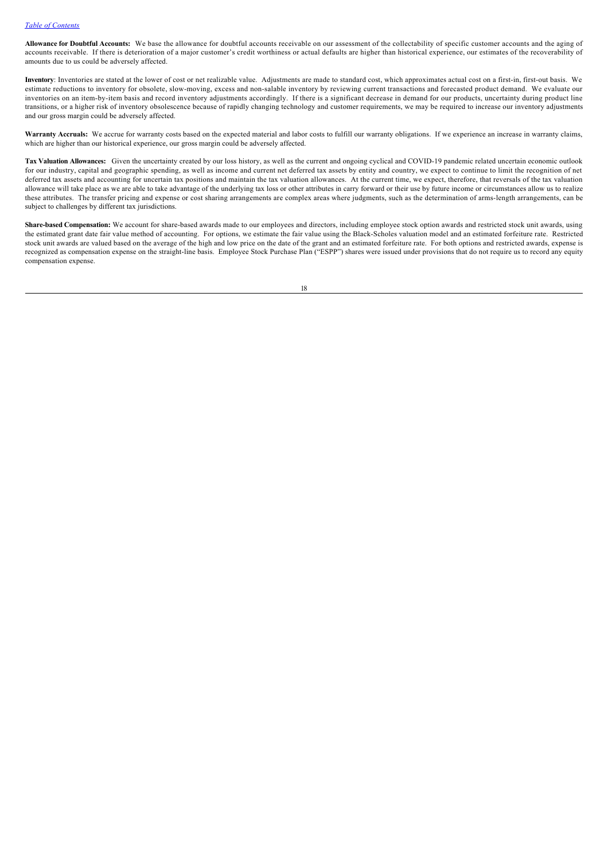#### *[Table of Contents](#page-1-0)*

**Allowance for Doubtful Accounts:** We base the allowance for doubtful accounts receivable on our assessment of the collectability of specific customer accounts and the aging of accounts receivable. If there is deterioration of a major customer's credit worthiness or actual defaults are higher than historical experience, our estimates of the recoverability of amounts due to us could be adversely affected.

Inventory: Inventories are stated at the lower of cost or net realizable value. Adjustments are made to standard cost, which approximates actual cost on a first-in, first-out basis. We estimate reductions to inventory for obsolete, slowmoving, excess and nonsalable inventory by reviewing current transactions and forecasted product demand. We evaluate our inventories on an item-by-item basis and record inventory adjustments accordingly. If there is a significant decrease in demand for our products, uncertainty during product line transitions, or a higher risk of inventory obsolescence because of rapidly changing technology and customer requirements, we may be required to increase our inventory adjustments and our gross margin could be adversely affected.

Warranty Accruals: We accrue for warranty costs based on the expected material and labor costs to fulfill our warranty obligations. If we experience an increase in warranty claims, which are higher than our historical experience, our gross margin could be adversely affected.

Tax Valuation Allowances: Given the uncertainty created by our loss history, as well as the current and ongoing cyclical and COVID-19 pandemic related uncertain economic outlook for our industry, capital and geographic spending, as well as income and current net deferred tax assets by entity and country, we expect to continue to limit the recognition of net deferred tax assets and accounting for uncertain tax positions and maintain the tax valuation allowances. At the current time, we expect, therefore, that reversals of the tax valuation allowance will take place as we are able to take advantage of the underlying tax loss or other attributes in carry forward or their use by future income or circumstances allow us to realize these attributes. The transfer pricing and expense or cost sharing arrangements are complex areas where judgments, such as the determination of arms-length arrangements, can be subject to challenges by different tax jurisdictions.

Share-based Compensation: We account for share-based awards made to our employees and directors, including employee stock option awards and restricted stock unit awards, using the estimated grant date fair value method of accounting. For options, we estimate the fair value using the Black-Scholes valuation model and an estimated forfeiture rate. Restricted stock unit awards are valued based on the average of the high and low price on the date of the grant and an estimated forfeiture rate. For both options and restricted awards, expense is recognized as compensation expense on the straight-line basis. Employee Stock Purchase Plan ("ESPP") shares were issued under provisions that do not require us to record any equity compensation expense.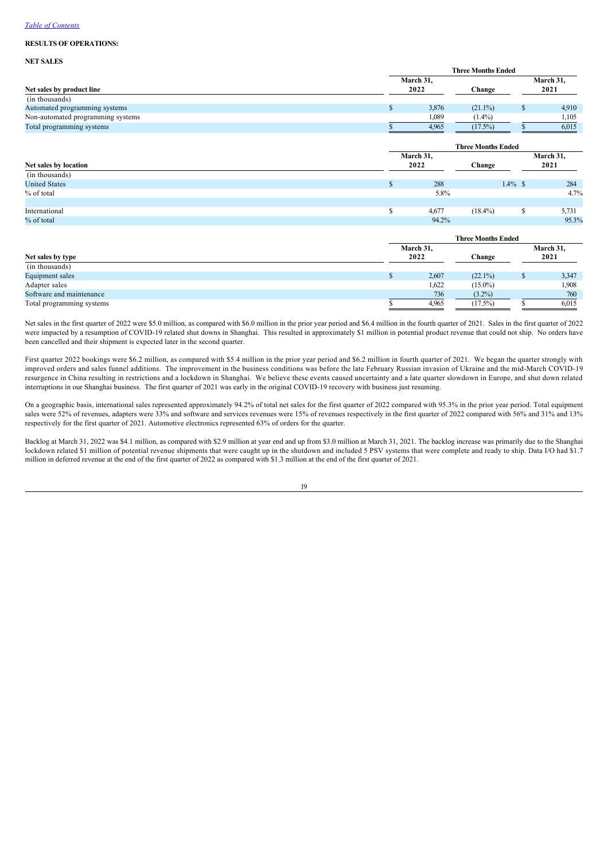# **RESULTS OF OPERATIONS:**

**NET SALES**

|                                   |               | <b>Three Months Ended</b> |                   |            |                   |  |  |
|-----------------------------------|---------------|---------------------------|-------------------|------------|-------------------|--|--|
| Net sales by product line         |               | March 31,<br>2022         |                   |            | March 31,<br>2021 |  |  |
| (in thousands)                    |               |                           |                   |            |                   |  |  |
| Automated programming systems     | $\mathbb{S}$  | 3,876                     | $(21.1\%)$        | \$         | 4,910             |  |  |
| Non-automated programming systems |               | 1,089                     | $(1.4\%)$         |            | 1,105             |  |  |
| Total programming systems         |               | 4,965                     | $(17.5\%)$        |            | 6,015             |  |  |
|                                   |               | <b>Three Months Ended</b> |                   |            |                   |  |  |
|                                   |               | March 31,                 |                   |            | March 31,         |  |  |
| Net sales by location             |               | 2022                      | Change            |            | 2021              |  |  |
| (in thousands)                    |               |                           |                   |            |                   |  |  |
| <b>United States</b>              | <sup>\$</sup> | 288                       |                   | $1.4\%$ \$ | 284               |  |  |
| % of total                        |               | 5.8%                      |                   |            | 4.7%              |  |  |
| International                     | S             | 4,677                     | $(18.4\%)$        | \$         | 5,731             |  |  |
| % of total                        |               | 94.2%                     |                   |            | 95.3%             |  |  |
|                                   |               |                           | There Mende Faded |            |                   |  |  |

|                           | 1 nree montns Engeg |            |  |           |
|---------------------------|---------------------|------------|--|-----------|
|                           | March 31,           |            |  | March 31, |
| Net sales by type         | 2022                | Change     |  | 2021      |
| (in thousands)            |                     |            |  |           |
| Equipment sales           | 2,607               | $(22.1\%)$ |  | 3,347     |
| Adapter sales             | 1,622               | $(15.0\%)$ |  | 1,908     |
| Software and maintenance  | 736                 | $(3.2\%)$  |  | 760       |
| Total programming systems | 4,965               | $(17.5\%)$ |  | 6,015     |

Net sales in the first quarter of 2022 were \$5.0 million, as compared with \$6.0 million in the prior year period and \$6.4 million in the fourth quarter of 2021. Sales in the first quarter of 2022 were impacted by a resumption of COVID-19 related shut downs in Shanghai. This resulted in approximately \$1 million in potential product revenue that could not ship. No orders have been cancelled and their shipment is expected later in the second quarter.

First quarter 2022 bookings were \$6.2 million, as compared with \$5.4 million in the prior year period and \$6.2 million in fourth quarter of 2021. We began the quarter strongly with improved orders and sales funnel additions. The improvement in the business conditions was before the late February Russian invasion of Ukraine and the midMarch COVID19 resurgence in China resulting in restrictions and a lockdown in Shanghai. We believe these events caused uncertainty and a late quarter slowdown in Europe, and shut down related interruptions in our Shanghai business. The first quarter of 2021 was early in the original COVID-19 recovery with business just resuming.

On a geographic basis, international sales represented approximately 94.2% of total net sales for the first quarter of 2022 compared with 95.3% in the prior year period. Total equipment sales were 52% of revenues, adapters were 33% and software and services revenues were 15% of revenues respectively in the first quarter of 2022 compared with 56% and 31% and 13% respectively for the first quarter of 2021. Automotive electronics represented 63% of orders for the quarter.

Backlog at March 31, 2022 was \$4.1 million, as compared with \$2.9 million at year end and up from \$3.0 million at March 31, 2021. The backlog increase was primarily due to the Shanghai lockdown related \$1 million of potential revenue shipments that were caught up in the shutdown and included 5 PSV systems that were complete and ready to ship. Data I/O had \$1.7 million in deferred revenue at the end of the first quarter of 2022 as compared with \$1.3 million at the end of the first quarter of 2021.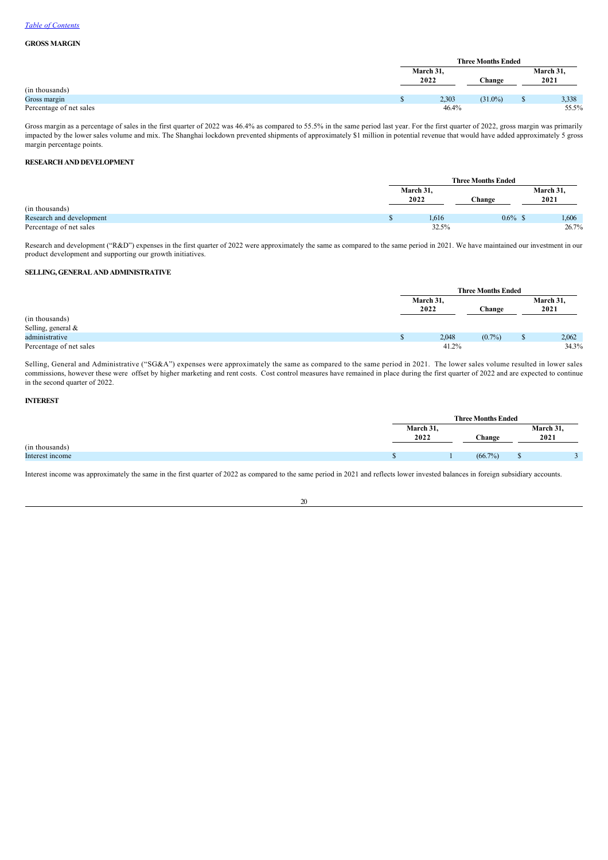#### **GROSS MARGIN**

|                         |           | <b>Three Months Ended</b>   |            |  |       |                   |  |
|-------------------------|-----------|-----------------------------|------------|--|-------|-------------------|--|
|                         |           | March 31,<br>2022<br>Change |            |  |       | March 31,<br>2021 |  |
| (in thousands)          |           |                             |            |  |       |                   |  |
| Gross margin            | <b>AD</b> | 2,303                       | $(31.0\%)$ |  | 3,338 |                   |  |
| Percentage of net sales |           | 46.4%                       |            |  | 55.5% |                   |  |

Gross margin as a percentage of sales in the first quarter of 2022 was 46.4% as compared to 55.5% in the same period last year. For the first quarter of 2022, gross margin was primarily impacted by the lower sales volume and mix. The Shanghai lockdown prevented shipments of approximately \$1 million in potential revenue that would have added approximately 5 gross margin percentage points.

# **RESEARCH AND DEVELOPMENT**

|                          |  | <b>Three Months Ended</b>   |            |       |  |  |  |                   |
|--------------------------|--|-----------------------------|------------|-------|--|--|--|-------------------|
|                          |  | March 31,<br>2022<br>Change |            |       |  |  |  | March 31,<br>2021 |
| (in thousands)           |  |                             |            |       |  |  |  |                   |
| Research and development |  | 1,616                       | $0.6\%$ \$ | 1,606 |  |  |  |                   |
| Percentage of net sales  |  | 32.5%                       |            | 26.7% |  |  |  |                   |

Research and development ("R&D") expenses in the first quarter of 2022 were approximately the same as compared to the same period in 2021. We have maintained our investment in our product development and supporting our growth initiatives.

## **SELLING, GENERAL AND ADMINISTRATIVE**

|                         |   | <b>Three Months Ended</b> |       |           |  |           |
|-------------------------|---|---------------------------|-------|-----------|--|-----------|
|                         |   | March 31,                 |       |           |  | March 31, |
|                         |   | 2022                      |       | Change    |  | 2021      |
| (in thousands)          |   |                           |       |           |  |           |
| Selling, general &      |   |                           |       |           |  |           |
| administrative          | n |                           | 2,048 | $(0.7\%)$ |  | 2,062     |
| Percentage of net sales |   |                           | 41.2% |           |  | 34.3%     |

Selling, General and Administrative ("SG&A") expenses were approximately the same as compared to the same period in 2021. The lower sales volume resulted in lower sales commissions, however these were offset by higher marketing and rent costs. Cost control measures have remained in place during the first quarter of 2022 and are expected to continue in the second quarter of 2022.

# **INTEREST**

|                 | <b>Three Months Ended</b> |  |               |   |                   |
|-----------------|---------------------------|--|---------------|---|-------------------|
|                 | March 31,<br>2022         |  | <b>Change</b> |   | March 31,<br>2021 |
| (in thousands)  |                           |  |               |   |                   |
| Interest income |                           |  | $(66.7\%)$    | ш |                   |

Interest income was approximately the same in the first quarter of 2022 as compared to the same period in 2021 and reflects lower invested balances in foreign subsidiary accounts.

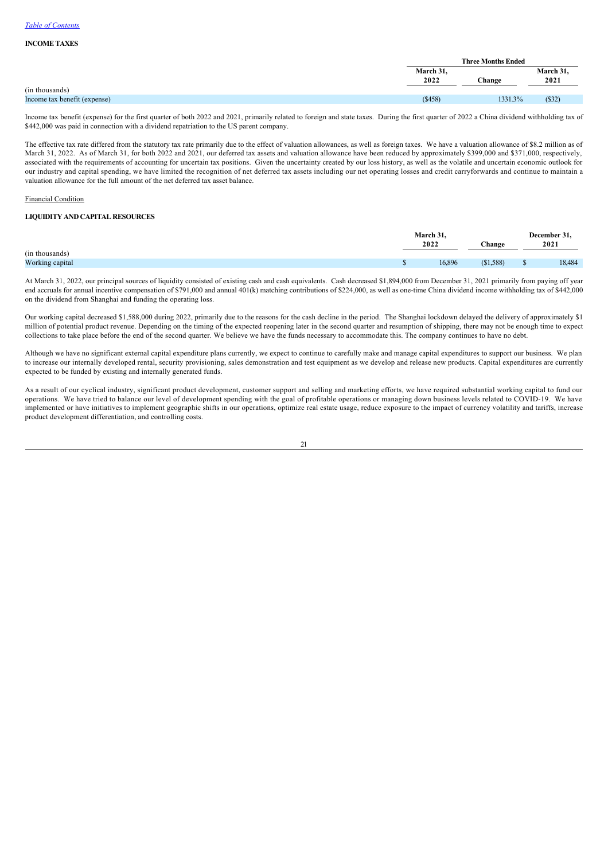## **INCOME TAXES**

|                              | <b>Three Months Ended</b> |         |                   |
|------------------------------|---------------------------|---------|-------------------|
|                              | March 31,<br>2022         | Change  | March 31,<br>2021 |
| (in thousands)               |                           |         |                   |
| Income tax benefit (expense) | (\$458)                   | 1331.3% | (\$32)            |

Income tax benefit (expense) for the first quarter of both 2022 and 2021, primarily related to foreign and state taxes. During the first quarter of 2022 a China dividend withholding tax of \$442,000 was paid in connection with a dividend repatriation to the US parent company.

The effective tax rate differed from the statutory tax rate primarily due to the effect of valuation allowances, as well as foreign taxes. We have a valuation allowance of \$8.2 million as of March 31, 2022. As of March 31, for both 2022 and 2021, our deferred tax assets and valuation allowance have been reduced by approximately \$399,000 and \$371,000, respectively, associated with the requirements of accounting for uncertain tax positions. Given the uncertainty created by our loss history, as well as the volatile and uncertain economic outlook for our industry and capital spending, we have limited the recognition of net deferred tax assets including our net operating losses and credit carryforwards and continue to maintain a valuation allowance for the full amount of the net deferred tax asset balance.

# Financial Condition

## **LIQUIDITY AND CAPITAL RESOURCES**

|                 | March 31,<br>2022 | Change    | December 31.<br>2021 |
|-----------------|-------------------|-----------|----------------------|
| (in thousands)  |                   |           |                      |
| Working capital | 16,896            | (\$1,588) | 18,484               |

At March 31, 2022, our principal sources of liquidity consisted of existing cash and cash equivalents. Cash decreased \$1,894,000 from December 31, 2021 primarily from paying off year end accruals for annual incentive compensation of \$791,000 and annual 401(k) matching contributions of \$224,000, as well as one-time China dividend income withholding tax of \$442,000 on the dividend from Shanghai and funding the operating loss.

Our working capital decreased \$1,588,000 during 2022, primarily due to the reasons for the cash decline in the period. The Shanghai lockdown delayed the delivery of approximately \$1 million of potential product revenue. Depending on the timing of the expected reopening later in the second quarter and resumption of shipping, there may not be enough time to expect collections to take place before the end of the second quarter. We believe we have the funds necessary to accommodate this. The company continues to have no debt.

Although we have no significant external capital expenditure plans currently, we expect to continue to carefully make and manage capital expenditures to support our business. We plan to increase our internally developed rental, security provisioning, sales demonstration and test equipment as we develop and release new products. Capital expenditures are currently expected to be funded by existing and internally generated funds.

As a result of our cyclical industry, significant product development, customer support and selling and marketing efforts, we have required substantial working capital to fund our operations. We have tried to balance our level of development spending with the goal of profitable operations or managing down business levels related to COVID-19. We have implemented or have initiatives to implement geographic shifts in our operations, optimize real estate usage, reduce exposure to the impact of currency volatility and tariffs, increase product development differentiation, and controlling costs.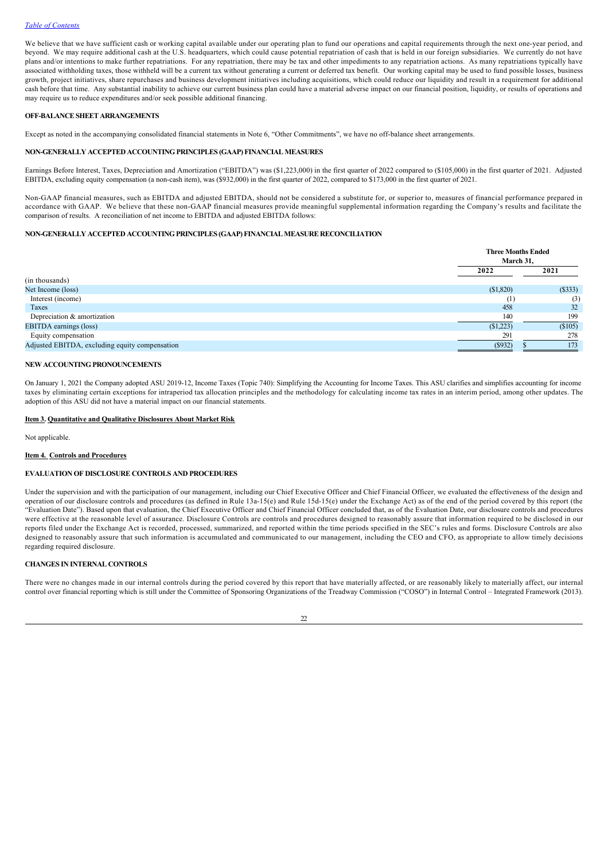We believe that we have sufficient cash or working capital available under our operating plan to fund our operations and capital requirements through the next one-year period, and beyond. We may require additional cash at the U.S. headquarters, which could cause potential repatriation of cash that is held in our foreign subsidiaries. We currently do not have plans and/or intentions to make further repatriations. For any repatriation, there may be tax and other impediments to any repatriation actions. As many repatriations typically have associated withholding taxes, those withheld will be a current tax without generating a current or deferred tax benefit. Our working capital may be used to fund possible losses, business growth, project initiatives, share repurchases and business development initiatives including acquisitions, which could reduce our liquidity and result in a requirement for additional cash before that time. Any substantial inability to achieve our current business plan could have a material adverse impact on our financial position, liquidity, or results of operations and may require us to reduce expenditures and/or seek possible additional financing.

### **OFF-BALANCE SHEET ARRANGEMENTS**

Except as noted in the accompanying consolidated financial statements in Note 6, "Other Commitments", we have no off-balance sheet arrangements.

### **NONGENERALLY ACCEPTED ACCOUNTING PRINCIPLES (GAAP) FINANCIAL MEASURES**

Earnings Before Interest, Taxes, Depreciation and Amortization ("EBITDA") was (\$1,223,000) in the first quarter of 2022 compared to (\$105,000) in the first quarter of 2021. Adjusted EBITDA, excluding equity compensation (a noncash item), was (\$932,000) in the first quarter of 2022, compared to \$173,000 in the first quarter of 2021.

Non-GAAP financial measures, such as EBITDA and adjusted EBITDA, should not be considered a substitute for, or superior to, measures of financial performance prepared in accordance with GAAP. We believe that these non-GAAP financial measures provide meaningful supplemental information regarding the Company's results and facilitate the comparison of results. A reconciliation of net income to EBITDA and adjusted EBITDA follows:

### **NONGENERALLY ACCEPTED ACCOUNTING PRINCIPLES (GAAP) FINANCIAL MEASURE RECONCILIATION**

|                                                |                  | <b>Three Months Ended</b><br>March 31, |  |  |
|------------------------------------------------|------------------|----------------------------------------|--|--|
|                                                | 2022             | 2021                                   |  |  |
| (in thousands)                                 |                  |                                        |  |  |
| Net Income (loss)                              | \$1,820          | (S333)                                 |  |  |
| Interest (income)                              | $\left(1\right)$ | (3)                                    |  |  |
| Taxes                                          | 458              | 32                                     |  |  |
| Depreciation & amortization                    | 140              | 199                                    |  |  |
| <b>EBITDA</b> earnings (loss)                  | (\$1,223)        | (\$105)                                |  |  |
| Equity compensation                            | 291              | 278                                    |  |  |
| Adjusted EBITDA, excluding equity compensation | (S932)           | 173                                    |  |  |

# **NEW ACCOUNTING PRONOUNCEMENTS**

On January 1, 2021 the Company adopted ASU 201912, Income Taxes (Topic 740): Simplifying the Accounting for Income Taxes. This ASU clarifies and simplifies accounting for income taxes by eliminating certain exceptions for intraperiod tax allocation principles and the methodology for calculating income tax rates in an interim period, among other updates. The adoption of this ASU did not have a material impact on our financial statements.

#### <span id="page-21-0"></span>**Item 3. Quantitative and Qualitative Disclosures About Market Risk**

Not applicable.

#### <span id="page-21-1"></span>**Item 4. Controls and Procedures**

## **EVALUATION OF DISCLOSURE CONTROLS AND PROCEDURES**

Under the supervision and with the participation of our management, including our Chief Executive Officer and Chief Financial Officer, we evaluated the effectiveness of the design and operation of our disclosure controls and procedures (as defined in Rule 13a-15(e) and Rule 15d-15(e) under the Exchange Act) as of the end of the period covered by this report (the "Evaluation Date"). Based upon that evaluation, the Chief Executive Officer and Chief Financial Officer concluded that, as of the Evaluation Date, our disclosure controls and procedures were effective at the reasonable level of assurance. Disclosure Controls are controls and procedures designed to reasonably assure that information required to be disclosed in our reports filed under the Exchange Act is recorded, processed, summarized, and reported within the time periods specified in the SEC's rules and forms. Disclosure Controls are also designed to reasonably assure that such information is accumulated and communicated to our management, including the CEO and CFO, as appropriate to allow timely decisions regarding required disclosure.

### **CHANGES IN INTERNAL CONTROLS**

There were no changes made in our internal controls during the period covered by this report that have materially affected, or are reasonably likely to materially affect, our internal control over financial reporting which is still under the Committee of Sponsoring Organizations of the Treadway Commission ("COSO") in Internal Control – Integrated Framework (2013).

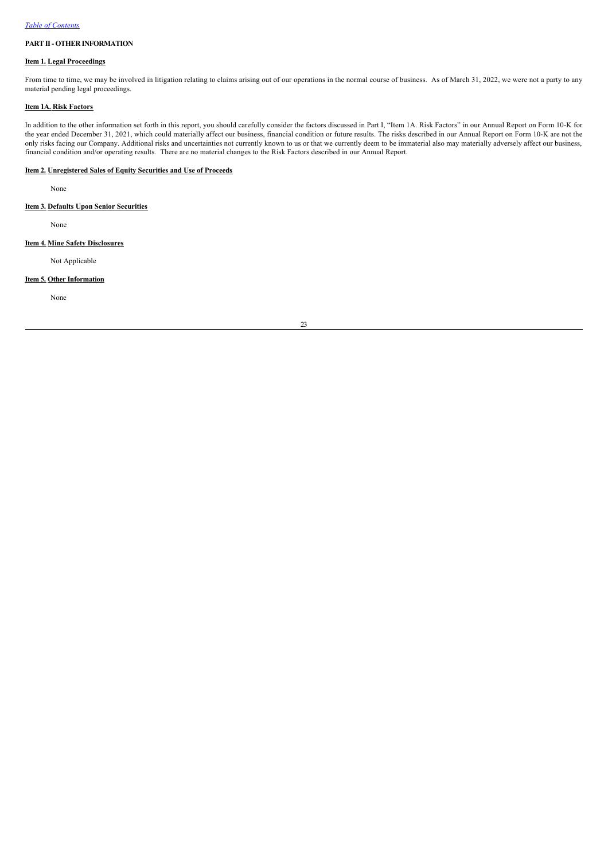# <span id="page-22-0"></span>**PART II OTHER INFORMATION**

## <span id="page-22-1"></span>**Item 1. Legal Proceedings**

From time to time, we may be involved in litigation relating to claims arising out of our operations in the normal course of business. As of March 31, 2022, we were not a party to any material pending legal proceedings.

# <span id="page-22-2"></span>**Item 1A. Risk Factors**

In addition to the other information set forth in this report, you should carefully consider the factors discussed in Part I, "Item 1A. Risk Factors" in our Annual Report on Form 10K for the year ended December 31, 2021, which could materially affect our business, financial condition or future results. The risks described in our Annual Report on Form 10-K are not the only risks facing our Company. Additional risks and uncertainties not currently known to us or that we currently deem to be immaterial also may materially adversely affect our business, financial condition and/or operating results. There are no material changes to the Risk Factors described in our Annual Report.

# <span id="page-22-3"></span>**Item 2. Unregistered Sales of Equity Securities and Use of Proceeds**

None

# <span id="page-22-4"></span>**Item 3. Defaults Upon Senior Securities**

None

## <span id="page-22-5"></span>**Item 4. Mine Safety Disclosures**

Not Applicable

# <span id="page-22-6"></span>**Item 5. Other Information**

None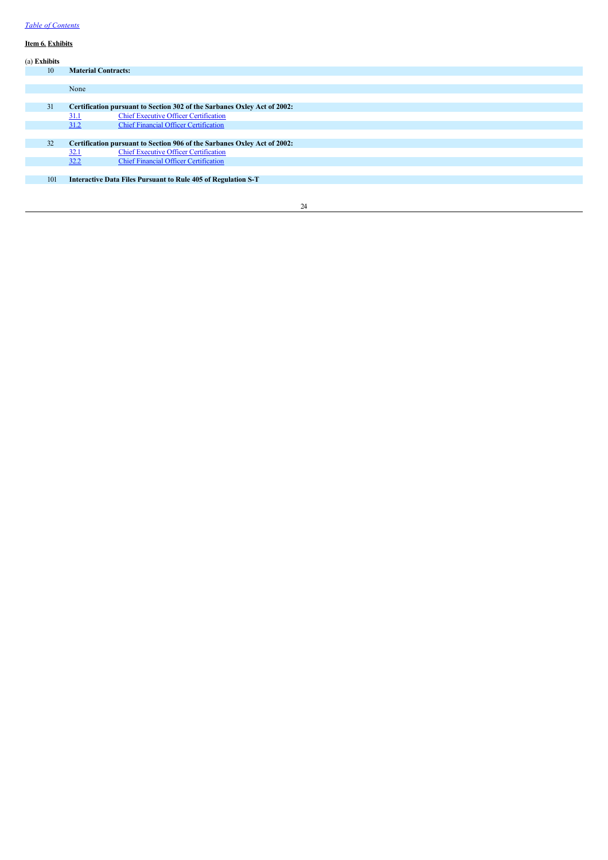# *[Table of Contents](#page-1-0)*

# <span id="page-23-0"></span>**Item 6. Exhibits**

| (a) Exhibits |                                                                          |
|--------------|--------------------------------------------------------------------------|
| 10           | <b>Material Contracts:</b>                                               |
|              |                                                                          |
|              | None                                                                     |
|              |                                                                          |
| 31           | Certification pursuant to Section 302 of the Sarbanes Oxley Act of 2002: |
|              | <b>Chief Executive Officer Certification</b><br><u>31.1</u>              |
|              | <b>Chief Financial Officer Certification</b><br>31.2                     |
|              |                                                                          |
| 32           | Certification pursuant to Section 906 of the Sarbanes Oxley Act of 2002: |
|              | <b>Chief Executive Officer Certification</b><br><u>32.1</u>              |
|              | 32.2<br><b>Chief Financial Officer Certification</b>                     |
|              |                                                                          |
| 101          | <b>Interactive Data Files Pursuant to Rule 405 of Regulation S-T</b>     |
|              |                                                                          |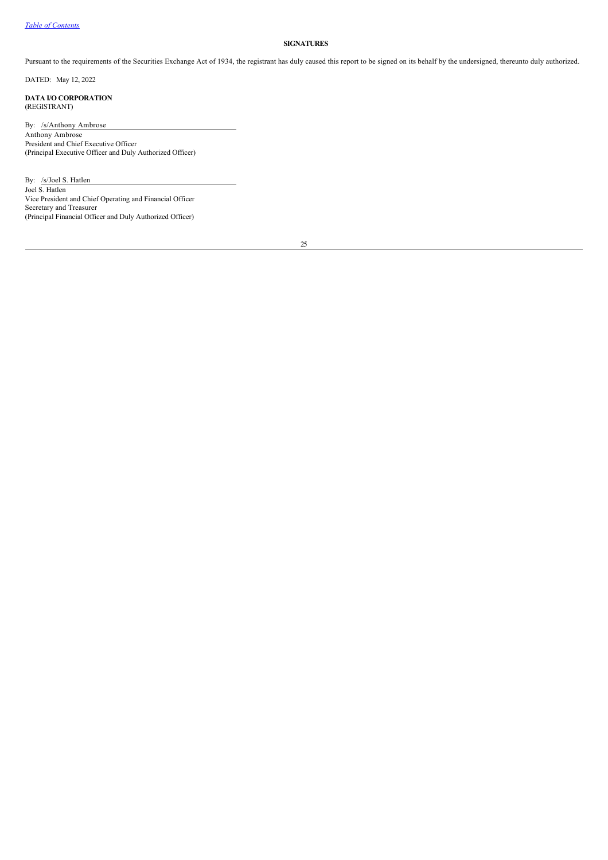### <span id="page-24-0"></span>**SIGNATURES**

Pursuant to the requirements of the Securities Exchange Act of 1934, the registrant has duly caused this report to be signed on its behalf by the undersigned, thereunto duly authorized.

DATED: May 12, 2022

## **DATA I/O CORPORATION** (REGISTRANT)

By: /s/Anthony Ambrose Anthony Ambrose President and Chief Executive Officer (Principal Executive Officer and Duly Authorized Officer)

By: /s/Joel S. Hatlen Joel S. Hatlen Vice President and Chief Operating and Financial Officer Secretary and Treasurer (Principal Financial Officer and Duly Authorized Officer)

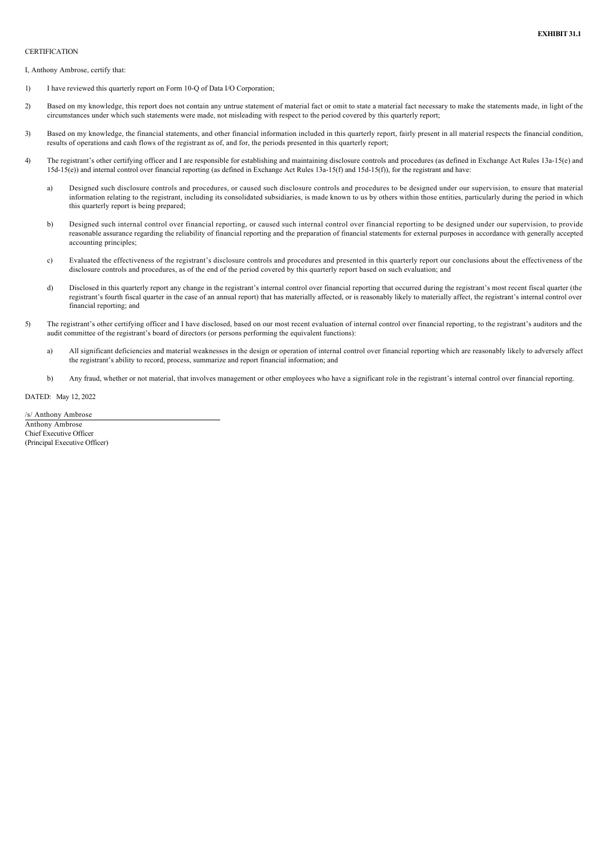### **CERTIFICATION**

I, Anthony Ambrose, certify that:

- 1) I have reviewed this quarterly report on Form 10-Q of Data I/O Corporation;
- 2) Based on my knowledge, this report does not contain any untrue statement of material fact or omit to state a material fact necessary to make the statements made, in light of the circumstances under which such statements were made, not misleading with respect to the period covered by this quarterly report;
- 3) Based on my knowledge, the financial statements, and other financial information included in this quarterly report, fairly present in all material respects the financial condition, results of operations and cash flows of the registrant as of, and for, the periods presented in this quarterly report;
- 4) The registrant's other certifying officer and I are responsible for establishing and maintaining disclosure controls and procedures (as defined in Exchange Act Rules 13a-15(e) and  $15d-15(e)$ ) and internal control over financial reporting (as defined in Exchange Act Rules  $13a-15(f)$ ) and  $15d-15(f)$ ), for the registrant and have:
	- a) Designed such disclosure controls and procedures, or caused such disclosure controls and procedures to be designed under our supervision, to ensure that material information relating to the registrant, including its consolidated subsidiaries, is made known to us by others within those entities, particularly during the period in which this quarterly report is being prepared;
	- b) Designed such internal control over financial reporting, or caused such internal control over financial reporting to be designed under our supervision, to provide reasonable assurance regarding the reliability of financial reporting and the preparation of financial statements for external purposes in accordance with generally accepted accounting principles;
	- c) Evaluated the effectiveness of the registrant's disclosure controls and procedures and presented in this quarterly report our conclusions about the effectiveness of the disclosure controls and procedures, as of the end of the period covered by this quarterly report based on such evaluation; and
	- d) Disclosed in this quarterly report any change in the registrant's internal control over financial reporting that occurred during the registrant's most recent fiscal quarter (the registrant's fourth fiscal quarter in the case of an annual report) that has materially affected, or is reasonably likely to materially affect, the registrant's internal control over financial reporting; and
- 5) The registrant's other certifying officer and I have disclosed, based on our most recent evaluation of internal control over financial reporting, to the registrant's auditors and the audit committee of the registrant's board of directors (or persons performing the equivalent functions):
	- a) All significant deficiencies and material weaknesses in the design or operation of internal control over financial reporting which are reasonably likely to adversely affect the registrant's ability to record, process, summarize and report financial information; and
	- b) Any fraud, whether or not material, that involves management or other employees who have a significant role in the registrant's internal control over financial reporting.

DATED: May 12, 2022

/s/ Anthony Ambrose Anthony Ambrose Chief Executive Officer (Principal Executive Officer)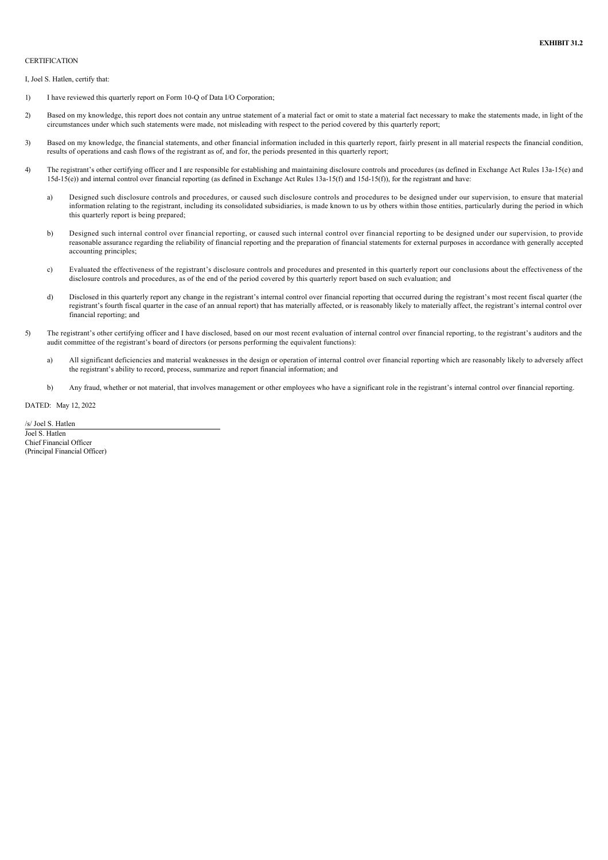## **CERTIFICATION**

I, Joel S. Hatlen, certify that:

- 1) I have reviewed this quarterly report on Form 10-Q of Data I/O Corporation;
- 2) Based on my knowledge, this report does not contain any untrue statement of a material fact or omit to state a material fact necessary to make the statements made, in light of the circumstances under which such statements were made, not misleading with respect to the period covered by this quarterly report;
- 3) Based on my knowledge, the financial statements, and other financial information included in this quarterly report, fairly present in all material respects the financial condition, results of operations and cash flows of the registrant as of, and for, the periods presented in this quarterly report;
- 4) The registrant's other certifying officer and I are responsible for establishing and maintaining disclosure controls and procedures (as defined in Exchange Act Rules 13a-15(e) and  $15d-15(e)$ ) and internal control over financial reporting (as defined in Exchange Act Rules  $13a-15(f)$ ) and  $15d-15(f)$ ), for the registrant and have:
	- a) Designed such disclosure controls and procedures, or caused such disclosure controls and procedures to be designed under our supervision, to ensure that material information relating to the registrant, including its consolidated subsidiaries, is made known to us by others within those entities, particularly during the period in which this quarterly report is being prepared;
	- b) Designed such internal control over financial reporting, or caused such internal control over financial reporting to be designed under our supervision, to provide reasonable assurance regarding the reliability of financial reporting and the preparation of financial statements for external purposes in accordance with generally accepted accounting principles;
	- c) Evaluated the effectiveness of the registrant's disclosure controls and procedures and presented in this quarterly report our conclusions about the effectiveness of the disclosure controls and procedures, as of the end of the period covered by this quarterly report based on such evaluation; and
	- d) Disclosed in this quarterly report any change in the registrant's internal control over financial reporting that occurred during the registrant's most recent fiscal quarter (the registrant's fourth fiscal quarter in the case of an annual report) that has materially affected, or is reasonably likely to materially affect, the registrant's internal control over financial reporting; and
- 5) The registrant's other certifying officer and I have disclosed, based on our most recent evaluation of internal control over financial reporting, to the registrant's auditors and the audit committee of the registrant's board of directors (or persons performing the equivalent functions):
	- a) All significant deficiencies and material weaknesses in the design or operation of internal control over financial reporting which are reasonably likely to adversely affect the registrant's ability to record, process, summarize and report financial information; and
	- b) Any fraud, whether or not material, that involves management or other employees who have a significant role in the registrant's internal control over financial reporting.

DATED: May 12, 2022

/s/ Joel S. Hatlen Joel S. Hatlen Chief Financial Officer (Principal Financial Officer)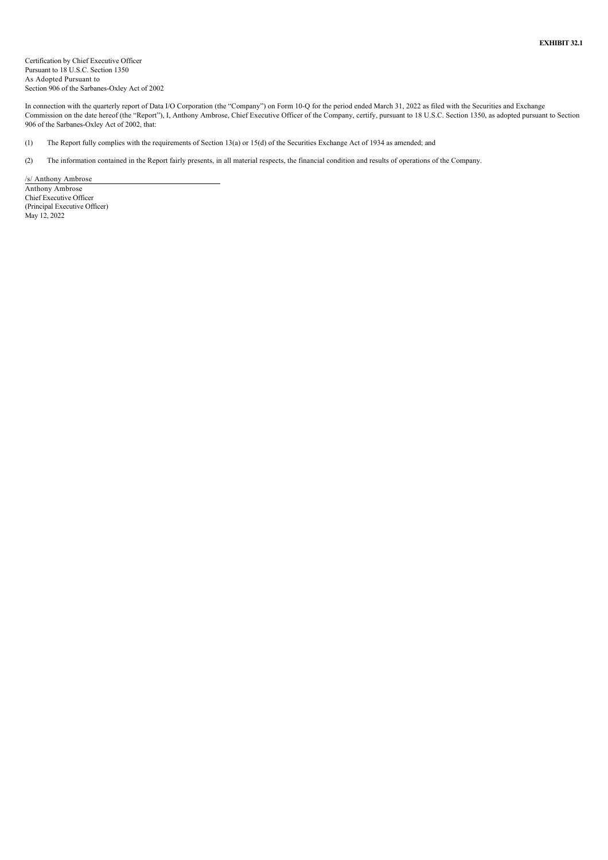Certification by Chief Executive Officer Pursuant to 18 U.S.C. Section 1350 As Adopted Pursuant to Section 906 of the Sarbanes-Oxley Act of 2002

In connection with the quarterly report of Data I/O Corporation (the "Company") on Form 10Q for the period ended March 31, 2022 as filed with the Securities and Exchange Commission on the date hereof (the "Report"), I, Anthony Ambrose, Chief Executive Officer of the Company, certify, pursuant to 18 U.S.C. Section 1350, as adopted pursuant to Section 906 of the Sarbanes-Oxley Act of 2002, that:

(1) The Report fully complies with the requirements of Section 13(a) or 15(d) of the Securities Exchange Act of 1934 as amended; and

(2) The information contained in the Report fairly presents, in all material respects, the financial condition and results of operations of the Company.

/s/ Anthony Ambrose Anthony Ambrose Chief Executive Officer (Principal Executive Officer) May 12, 2022